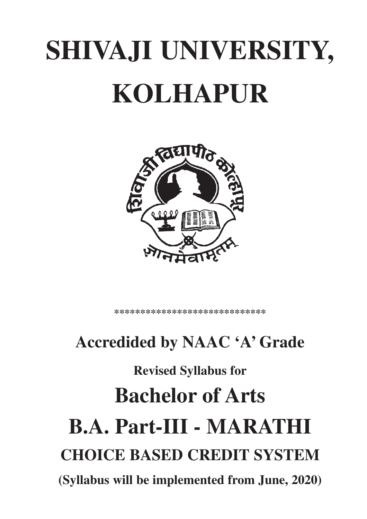# **SHIVAJI UNIVERSITY, KOLHAPUR**



\*\*\*\*\*\*\*\*\*\*\*\*\*\*\*\*\*\*\*\*\*\*\*\*\*

# **Accredided by NAAC 'A' Grade**

# **Revised Syllabus for Bachelor of Arts B.A. Part-III - MARATHI CHOICE BASED CREDIT SYSTEM (Syllabus will be implemented from June, 2020)**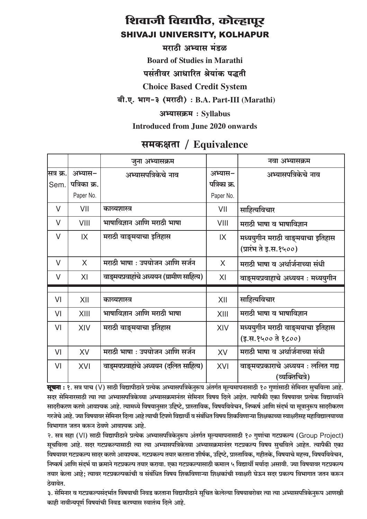मराठी अभ्यास मंडळ

**Board of Studies in Marathi** 

पसंतीवर आधारित श्रेयांक पद्धती

**Choice Based Credit System** 

बी.ए. भाग-३ (मराठी): B.A. Part-III (Marathi)

अभ्यासक्रम: Syllabus

Introduced from June 2020 onwards

# समकक्षता / Equivalence

|            |              | जूना अभ्यासक्रम                           |              | नवा अभ्यासक्रम                     |
|------------|--------------|-------------------------------------------|--------------|------------------------------------|
| सित्र क्र. | अभ्यास–      | अभ्यासपत्रिकेचे नाव                       | अभ्यास–      | अभ्यासपत्रिकेचे नाव                |
| Sem.       | पत्रिका क्र. |                                           | पत्रिका क्र. |                                    |
|            | Paper No.    |                                           | Paper No.    |                                    |
| $\vee$     | VII          | काव्यशास्त्र                              | VII          | साहित्यविचार                       |
| $\vee$     | VIII         | भाषाविज्ञान आणि मराठी भाषा                | VIII         | मराठी भाषा व भाषाविज्ञान           |
| $\vee$     | IX           | मराठी वाङ्मयाचा इतिहास                    | IX           | मध्ययुगीन मराठी वाङ्मयाचा इतिहास   |
|            |              |                                           |              | (प्रारंभ ते इ.स.१५००)              |
| $\vee$     | $\sf X$      | मराठी भाषा : उपयोजन आणि सर्जन             | $\sf X$      | मराठी भाषा व अर्थार्जनाच्या संधी   |
| $\vee$     | XI           | वाङ्मयप्रवाहांचे अध्ययन (ग्रामीण साहित्य) | XI           | वाङ्मयप्रवाहाचे अध्ययन : मध्ययुगीन |
|            |              |                                           |              |                                    |
| VI         | XII          | काव्यशास्त्र                              | XII          | साहित्यविचार                       |
| VI         | XIII         | भाषाविज्ञान आणि मराठी भाषा                | XIII         | मराठी भाषा व भाषाविज्ञान           |
| VI         | XIV          | मराठी वाङ्मयाचा इतिहास                    | XIV          | मध्ययुगीन मराठी वाङ्मयाचा इतिहास   |
|            |              |                                           |              | (इ.स.१५०० ते १८००)                 |
| VI         | <b>XV</b>    | मराठी भाषा : उपयोजन आणि सर्जन             | XV           | मराठी भाषा व अर्थार्जनाच्या संधी   |
| VI         | XVI          | वाङ्मयप्रवाहांचे अध्ययन (दलित साहित्य)    | XVI          | वाङ्मयप्रकाराचे अध्ययन : ललित गद्य |
|            |              |                                           |              | (व्यक्तिचित्रे)                    |

**सूचना :** १. सत्र पाच (V) साठी विद्यापीठाने प्रत्येक अभ्यासपत्रिकेनुरूप अंतर्गत मूल्यमापनासाठी १० गुणांसाठी सेमिनार सुचविला आहे. सदर सेमिनारसाठी त्या त्या अभ्यासपत्रिकेच्या अभ्यासक्रमानंतर सेमिनार विषय दिले आहेत. त्यापैकी एका विषयावर प्रत्येक विद्यार्थ्याने सादरीकरण करणे आवश्यक आहे. त्यामध्ये विषयानुसार उद्दिष्टे, प्रास्ताविक, विषयविवेचन, निष्कर्ष आणि संदर्भ या सुत्रानुरूप सादरीकरण गरजेचे आहे. ज्या विषयावर सेमिनार दिला आहे त्याची टिपणे विद्यार्थी व संबंधित विषय शिकविणाऱ्या शिक्षकाच्या स्वाक्षरीसह महाविद्यालयाच्या विभागात जतन करून ठेवणे आवश्यक आहे.

२. सत्र सहा (VI) साठी विद्यापीठाने प्रत्येक अभ्यासपत्रिकेनुरूप अंतर्गत मुल्यमापनासाठी १० गुणांचा गटप्रकल्प (Group Project) सूचविला आहे. सदर गटप्रकल्पासाठी त्या त्या अभ्यासपत्रिकेच्या अभ्यासक्रमानंतर गटप्रकल्प विषय सुचविले आहेत. त्यापैकी एका विषयावर गटप्रकल्प सादर करणे आवश्यक. गटप्रकल्प तयार करताना शीर्षक, उद्दिष्टे, प्रास्ताविक, गहीतके, विषयाचे महत्त्व, विषयविवेचन, निष्कर्ष आणि संदर्भ या क्रमाने गटप्रकल्प तयार करावा. एका गटप्रकल्पासाठी कमाल ५ विद्यार्थी मर्यादा असावी. ज्या विषयावर गटप्रकल्प तयार केला आहे; त्यावर गटप्रकल्पकांची व संबंधित विषय शिकविणाऱ्या शिक्षकांची स्वाक्षरी घेऊन सदर प्रकल्प विभागात जतन करून तेवावेत.

३. सेमिनार व गटप्रकल्पसंदर्भात विषयाची निवड करताना विद्यापीठाने सूचित केलेल्या विषयाबरोबर त्या त्या अभ्यासपत्रिकेनुरूप आणखी काही नावीन्यपूर्ण विषयांची निवड करण्यास स्वातंत्र्य दिले आहे.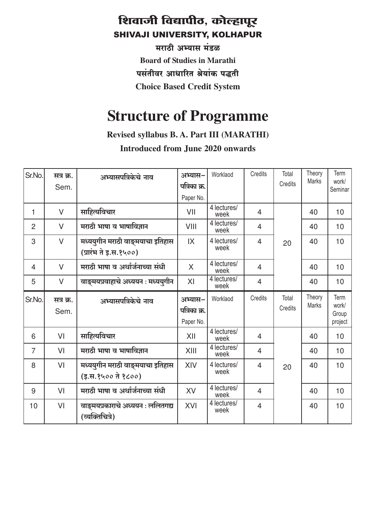मराठी अभ्यास मंडळ **Board of Studies in Marathi** पसंतीवर आधारित श्रेयांक पद्धती **Choice Based Credit System** 

# **Structure of Programme**

Revised syllabus B. A. Part III (MARATHI)

**Introduced from June 2020 onwards** 

| Sr.No.         | सत्र क्र.<br>Sem. | अभ्यासपत्रिकेचे नाव                                       | अभ्यास-<br>पत्रिका क्र.<br>Paper No. | Worklaod                         | Credits        | Total<br>Credits | Theory<br><b>Marks</b> | Term<br>work/<br>Seminar          |
|----------------|-------------------|-----------------------------------------------------------|--------------------------------------|----------------------------------|----------------|------------------|------------------------|-----------------------------------|
| $\mathbf{1}$   | $\vee$            | साहित्यविचार                                              | VII                                  | 4 lectures/<br>week              | $\overline{4}$ |                  | 40                     | 10                                |
| $\overline{2}$ | $\vee$            | मराठी भाषा व भाषाविज्ञान                                  | VIII                                 | 4 lectures/<br>week              | $\overline{4}$ |                  | 40                     | 10                                |
| 3              | $\vee$            | मध्ययुगीन मराठी वाङ्मयाचा इतिहास<br>(प्रारंभ ते इ.स.१५००) | IX                                   | 4 lectures/<br>week              | $\overline{4}$ | 20               | 40                     | 10                                |
| $\overline{4}$ | $\vee$            | मराठी भाषा व अर्थार्जनाच्या संधी                          | X                                    | $\overline{4}$ lectures/<br>week | $\overline{4}$ |                  | 40                     | 10                                |
| 5              | $\vee$            | वाङ्मयप्रवाहाचे अध्ययन : मध्ययुगीन                        | XI                                   | 4 lectures/<br>week              | $\overline{4}$ |                  | 40                     | 10                                |
| Sr.No.         | सत्र क्र.<br>Sem. | अभ्यासपत्रिकेचे नाव                                       | अभ्यास-<br>पत्रिका क्र.<br>Paper No. | Worklaod                         | Credits        | Total<br>Credits | Theory<br><b>Marks</b> | Term<br>work/<br>Group<br>project |
| 6              | VI                | साहित्यविचार                                              | XII                                  | 4 lectures/<br>week              | $\overline{4}$ |                  | 40                     | 10                                |
| $\overline{7}$ | VI                | मराठी भाषा व भाषाविज्ञान                                  | XIII                                 | 4 lectures/<br>week              | $\overline{4}$ |                  | 40                     | 10                                |
| 8              | VI                | मध्ययुगीन मराठी वाङ्मयाचा इतिहास<br>(इ.स.१५०० ते १८००)    | XIV                                  | 4 lectures/<br>week              | $\overline{4}$ | 20               | 40                     | 10                                |
| 9              | VI                | मराठी भाषा व अर्थार्जनाच्या संधी                          | XV                                   | 4 lectures/<br>week              | $\overline{4}$ |                  | 40                     | 10                                |
| 10             | VI                | वाङ्मयप्रकाराचे अध्ययन : ललितगद्य<br>(व्यक्तिचित्रे)      | XVI                                  | 4 lectures/<br>week              | $\overline{4}$ |                  | 40                     | 10                                |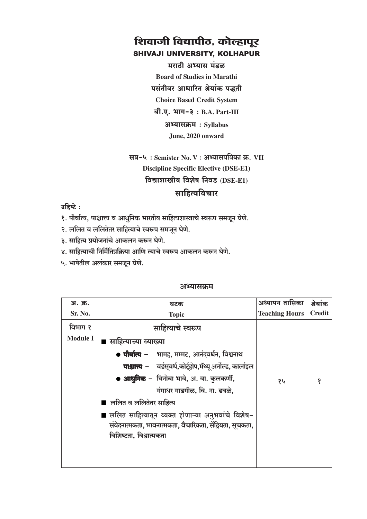मराठी अभ्यास मंडळ **Board of Studies in Marathi** पसंतीवर आधारित श्रेयांक पद्धती **Choice Based Credit System**  $a$ ी.ए. भाग-३: B.A. Part-III अभ्यासक्रम: Syllabus

June, 2020 onward

# सत्र-५: Semister No. V: अभ्यासपत्रिका क्र. VII **Discipline Specific Elective (DSE-E1)** विद्याशाखीय विशेष निवड (DSE-E1)

### साहित्यविचार

उहिष्टे:

- १. पौर्वात्य, पाश्चात्त्य व आधुनिक भारतीय साहित्यशास्त्राचे स्वरूप समजून घेणे.
- २. ललित व ललितेतर साहित्याचे स्वरूप समजून घेणे.
- ३. साहित्य प्रयोजनांचे आकलन करून घेणे.
- ४. साहित्याची निर्मितिप्रक्रिया आणि त्याचे स्वरूप आकलन करून घेणे.
- ५. भाषेतील अलंकार समजून घेणे.

| अ. क्र.         | घटक                                                                          | अध्यापन तासिका        | श्रेयांक      |
|-----------------|------------------------------------------------------------------------------|-----------------------|---------------|
| Sr. No.         | <b>Topic</b>                                                                 | <b>Teaching Hours</b> | <b>Credit</b> |
| विभाग १         | साहित्याचे स्वरूप                                                            |                       |               |
| <b>Module I</b> | ∎ साहित्याच्या व्याख्या                                                      |                       |               |
|                 | • पौर्वात्य – भामह, मम्मट, आनंदवर्धन, विश्वनाथ                               |                       |               |
|                 | <b>पाश्चात्त्य</b> – वर्डस् <b>वर्थ,कोर्ट्होप,मॅथ्यू अर्नोल्ड, कार्ला</b> इल |                       |               |
|                 | ● आधुनिक – विनोबा भावे, अ. वा. कुलकर्णी,                                     | १५                    | 9             |
|                 | गंगाधर गाडगीळ, वि. ना. ढवळे,                                                 |                       |               |
|                 | ■ ललित व ललितेतर साहित्य                                                     |                       |               |
|                 | ■ ललित साहित्यातून व्यक्त होणाऱ्या अनुभवांचे विशेष−                          |                       |               |
|                 | संवेदनात्मकता, भावनात्मकता, वैचारिकता, सेंद्रियता, सूचकता,                   |                       |               |
|                 | विशिष्टता, विश्वात्मकता                                                      |                       |               |
|                 |                                                                              |                       |               |
|                 |                                                                              |                       |               |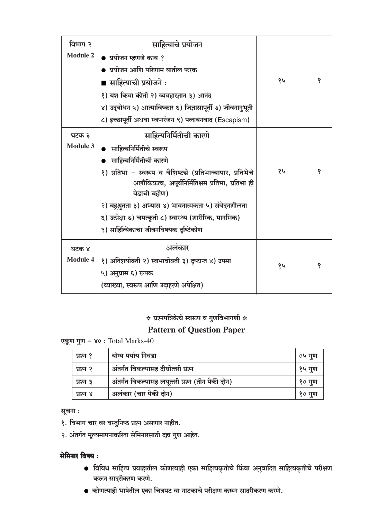| विभाग २         | साहित्याचे प्रयोजन                                                                                                               |    |   |
|-----------------|----------------------------------------------------------------------------------------------------------------------------------|----|---|
| <b>Module 2</b> | ● प्रयोजन म्हणजे काय ?                                                                                                           |    |   |
|                 | ● प्रयोजन आणि परिणाम यातील फरक                                                                                                   |    |   |
|                 | ■ साहित्याची प्रयोजने :                                                                                                          | १५ | १ |
|                 | १) यश किंवा कीर्ती २) व्यवहारज्ञान ३) आनंद                                                                                       |    |   |
|                 | ४) उद्बोधन ५) आत्माविष्कार ६) जिज्ञासापूर्ती ७) जीवनानुभूती                                                                      |    |   |
|                 | ८) इच्छापूर्ती अथवा स्वप्नरंजन ९) पलायनवाद (Escapism)                                                                            |    |   |
| घटक ३           | साहित्यनिर्मितीची कारणे                                                                                                          |    |   |
| <b>Module 3</b> | साहित्यनिर्मितीचे स्वरूप                                                                                                         |    |   |
|                 | साहित्यनिर्मितीची कारणे                                                                                                          |    |   |
|                 | १) प्रतिभा – स्वरूप व वैशिष्ट्ये (प्रतिभाव्यापार, प्रतिभेचे<br>अलौकिकत्व, अपूर्वनिर्मितिक्षम प्रतिभा, प्रतिभा ही<br>वेडाची बहीण) | १५ | १ |
|                 | २) बहुश्रुतता ३) अभ्यास ४) भावनात्मकता ५) संवेदनशीलता                                                                            |    |   |
|                 | ६) उत्प्रेक्षा ७) चमत्कृती ८) स्वास्थ्य (शारीरिक, मानसिक)                                                                        |    |   |
|                 | ९) साहित्यिकाचा जीवनविषयक दृष्टिकोण                                                                                              |    |   |
| घटक ४           | अलंकार                                                                                                                           |    |   |
| <b>Module 4</b> | १) अतिशयोक्ती २) स्वभावोक्ती ३) दृष्टान्त ४) उपमा                                                                                |    |   |
|                 | ५) अनुप्रास ६) रूपक                                                                                                              | १५ |   |
|                 | (व्याख्या, स्वरूप आणि उदाहरणे अपेक्षित)                                                                                          |    |   |

#### **Pattern of Question Paper**

एकूण गुण - ४०: Total Marks-40

| प्रश्न १ | योग्य पर्याय निवडा                               | ०५ गुण |
|----------|--------------------------------------------------|--------|
| प्रश्न २ | अंतर्गत विकल्पासह दीर्घोत्तरी प्रश्न             | १५ गुण |
| प्रश्न ३ | अंतर्गत विकल्पासह लघूत्तरी प्रश्न (तीन पैकी दोन) | १० गुण |
| प्रश्न ४ | अलंकार (चार पैकी दोन)                            | १० गुण |

सूचना :

- १. विभाग चार वर वस्तुनिष्ठ प्रश्न असणार नाहीत.
- २. अंतर्गत मूल्यमापनाकरिता सेमिनारसाठी दहा गुण आहेत.

#### सेमिनार विषय:

- विविध साहित्य प्रवाहातील कोणत्याही एका साहित्यकृतीचे किंवा अनुवादित साहित्यकृतीचे परीक्षण करून सादरीकरण करणे.
- कोणत्याही भाषेतील एका चित्रपट वा नाटकाचे परीक्षण करून सादरीकरण करणे.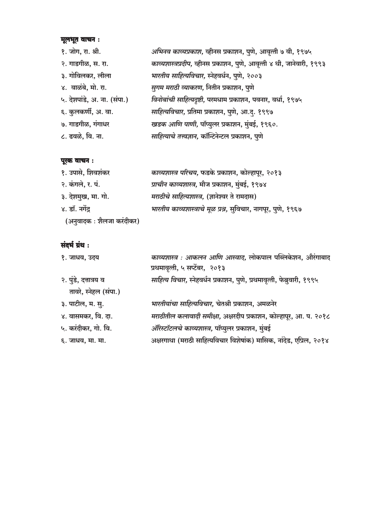# **मूलभूत वाचन :**<br>९ जोग म

| १. जोग, रा. श्री.           | अभिनव काव्यप्रकाश, व्हीनस प्रकाशन, पुणे, आवृत्ती ७ वी, १९७५            |
|-----------------------------|------------------------------------------------------------------------|
| २. गाडगीळ, स. रा.           | काव्यशास्त्रप्रदीप, व्हीनस प्रकाशन, पुणे, आवृत्ती ४ थी, जानेवारी, १९९३ |
| ३. गोविलकर, लीला            | भारतीय साहित्यविचार, स्नेहवर्धन, पुणे, २००३                            |
| ४. वाळंबे, मो. रा.          | सुगम मराठी व्याकरण, नितीन प्रकाशन, पुणे                                |
| ५. देशपांडे, अ. ना. (संपा.) | विनोबांची साहित्यदृष्टी, परमधाम प्रकाशन, पवनार, वर्धा, १९७५            |
| ६. कुलकर्णी, अ. वा.         | साहित्यविचार, प्रतिमा प्रकाशन, पुणे, आ.द्. १९९७                        |
| ७. गाडगीळ, गंगाधर           | खडक आणि पाणी, पॉप्युलर प्रकाशन, मुंबई, १९६०.                           |
| ८. ढवळे, वि. ना.            | साहित्याचे तत्त्वज्ञान, कॉन्टिनेन्टल प्रकाशन, पुणे                     |

#### पूरक वाचन :

| १. उपासे, शिवशंकर         | काव्यशास्त्र परिचय, फडके प्रकाशन, कोल्हापूर, २०१३              |
|---------------------------|----------------------------------------------------------------|
| २. कंगले, र. पं.          | प्राचीन काव्यशास्त्र, मौज प्रकाशन, मुंबई, १९७४                 |
| ३. देशमुख, मा. गो.        | मराठीचे साहित्यशास्त्र, (ज्ञानेश्वर ते रामदास)                 |
| ४. डॉ. नर्गेंद्र          | भारतीय काव्यशास्त्राचे मूळ प्रश्न, सुविचार, नागपूर, पुणे, १९६७ |
| (अनुवादक : शैलजा करंदीकर) |                                                                |

| १. जाधव, उदय          | काव्यशास्त्र : आकलन आणि आस्वाद, लोकपाल पब्लिकेशन, औरंगाबाद<br>प्रथमावृत्ती, ५ सप्टेंबर, २०१३ |
|-----------------------|----------------------------------------------------------------------------------------------|
| २. पुंडे, दत्तात्रय व | साहित्य विचार, स्नेहवर्धन प्रकाशन, पुणे, प्रथमावृत्ती, फेब्रुवारी, १९९५                      |
| तावरे, स्नेहल (संपा.) |                                                                                              |
| ३. पाटील, म. सु.      | भारतीयांचा साहित्यविचार, चेतश्री प्रकाशन, अमळनेर                                             |
| ४. वासमकर, वि. दा.    | मराठीतील कलावादी समीक्षा, अक्षरदीप प्रकाशन, कोल्हापूर, आ. प. २०१८                            |
| ५. करंदीकर, गो. वि.   | ऑरेस्टॉटलचे काव्यशास्त्र, पॉप्युलर प्रकाशन, मुंबई                                            |
| ६. जाधव, मा. मा.      | अक्षरगाथा (मराठी साहित्यविचार विशेषांक) मासिक, नांदेड, एप्रिल, २०१४                          |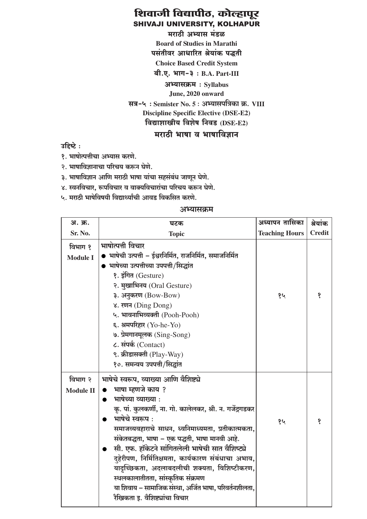मराठी अभ्यास मंडळ **Board of Studies in Marathi** पसंतीवर आधारित श्रेयांक पद्धती **Choice Based Credit System** बी.ए. भाग-३: B.A. Part-III अभ्यासक्रम: Svllabus June, 2020 onward सत्र-५: Semister No. 5: अभ्यासपत्रिका क्र. VIII **Discipline Specific Elective (DSE-E2)** विद्याशाखीय विशेष निवड (DSE-E2) मराठी भाषा व भाषाविज्ञान

उहिष्टे:

१. भाषोत्पत्तीचा अभ्यास करणे.

२. भाषाविज्ञानाचा परिचय करून घेणे.

३. भाषाविज्ञान आणि मराठी भाषा यांचा सहसंबंध जाणून घेणे.

४. स्वनविचार, रूपविचार व वाक्यविचारांचा परिचय करून घेणे.

५. मराठी भाषेविषयी विद्यार्थ्यांची आवड विकसित करणे.

| अ. क्र.                     | घटक                                                                                                                                                                                                                                                                                                                                                                                                                                                                                                                                                                | अध्यापन तासिका        | श्रेयांक      |
|-----------------------------|--------------------------------------------------------------------------------------------------------------------------------------------------------------------------------------------------------------------------------------------------------------------------------------------------------------------------------------------------------------------------------------------------------------------------------------------------------------------------------------------------------------------------------------------------------------------|-----------------------|---------------|
| Sr. No.                     | <b>Topic</b>                                                                                                                                                                                                                                                                                                                                                                                                                                                                                                                                                       | <b>Teaching Hours</b> | <b>Credit</b> |
| विभाग १<br><b>Module I</b>  | भाषोत्पत्ती विचार<br>भाषेची उत्पत्ती – ईश्वरनिर्मित, राजनिर्मित, समाजनिर्मित<br>भाषेच्या उत्पत्तीच्या उपपत्ती/सिद्धांत<br>१. इंगित (Gesture)<br>२. मुखाभिनय (Oral Gesture)<br>३. अनुकरण (Bow-Bow)<br>४. रणन (Ding Dong)<br>५. भावनाभिव्यक्ती (Pooh-Pooh)<br>६. श्रमपरिहार (Yo-he-Yo)<br>७. प्रेमगानमूलक (Sing-Song)<br>८. संपर्क (Contact)<br>९. क्रीडासक्ती (Play-Way)<br>१०. समन्वय उपपत्ती/सिद्धांत                                                                                                                                                             | १५                    | १             |
| विभाग २<br><b>Module II</b> | भाषेचे स्वरूप, व्याख्या आणि वैशिष्ट्ये<br>भाषा म्हणजे काय ?<br>भाषेच्या व्याख्या :<br>कृ. पां. कुलकर्णी, ना. गो. कालेलकर, श्री. न. गर्जेद्रगडकर<br>भाषेचे स्वरूप:<br>समाजव्यवहाराचे साधन, ध्वनिमाध्यमता, प्रतीकात्मकता,<br>संकेतबद्धता, भाषा - एक पद्धती, भाषा मानवी आहे.<br>सी. एफ. हॉकेटने सांगितलेली भाषेची सात वैशिष्ट्ये<br>दृहेरीपण, निर्मितिक्षमता, कार्यकारण संबंधाचा अभाव,<br>यादृच्छिकता, अदलाबदलीची शक्यता, विशिष्टीकरण,<br>स्थलकालातीतता, सांस्कृतिक संक्रमण<br>या शिवाय – सामाजिक संस्था, अर्जित भाषा, परिवर्तनशीलता,<br>गैविकता दु तैषिष्ठांचा विचार | १५                    | १             |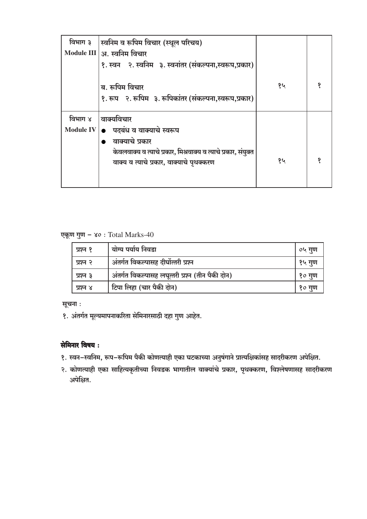| विभाग ३          | स्वनिम व रूपिम विचार (स्थूल परिचय)                                      |    |  |
|------------------|-------------------------------------------------------------------------|----|--|
|                  | Module III   अ. स्वनिम विचार                                            |    |  |
|                  | १. स्वन १. स्वनिम ३. स्वनांतर (संकल्पना,स्वरूप,प्रकार)                  |    |  |
|                  | ब. रूपिम विचार<br>१. रूप २. रूपिम ३. रूपिकांतर (संकल्पना,स्वरूप,प्रकार) | १५ |  |
| विभाग ४          | वाक्यविचार                                                              |    |  |
| <b>Module IV</b> | पदबंध व वाक्याचे स्वरूप                                                 |    |  |
|                  | वाक्याचे प्रकार                                                         |    |  |
|                  | केवलवाक्य व त्याचे प्रकार, मिश्रवाक्य व त्याचे प्रकार, संयुक्त          |    |  |
|                  | वाक्य व त्याचे प्रकार, वाक्याचे पृथक्करण                                | १५ |  |
|                  |                                                                         |    |  |

#### एकूण गुण - ४०: Total Marks-40

| प्रश्न १ | योग्य पर्याय निवडा                               | ०५ गुण |
|----------|--------------------------------------------------|--------|
| प्रश्न २ | अंतर्गत विकल्पासह दीर्घोत्तरी प्रश्न             | १५ गुण |
| प्रश्न ३ | अंतर्गत विकल्पासह लघूत्तरी प्रश्न (तीन पैकी दोन) | १० गुण |
| प्रश्न ४ | टिपा लिहा (चार पैकी दोन)                         | १० गुण |

सूचना:

१. अंतर्गत मूल्यमापनाकरिता सेमिनारसाठी दहा गुण आहेत.

#### सेमिनार विषय:

- १. स्वन-स्वनिम, रूप-रूपिम पैकी कोणत्याही एका घटकाच्या अनुषंगाने प्रात्यक्षिकांसह सादरीकरण अपेक्षित.
- २. कोणत्याही एका साहित्यकृतीच्या निवडक भागातील वाक्यांचे प्रकार, पृथक्करण, विश्लेषणासह सादरीकरण अपेक्षित.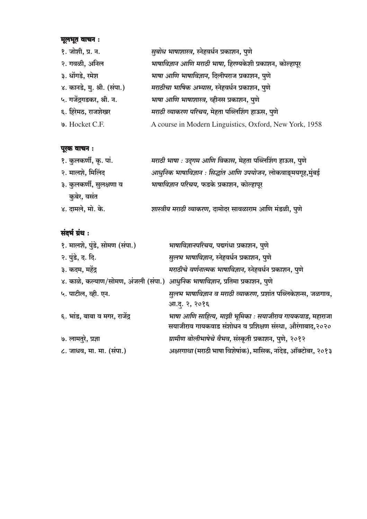# मूलभूत वाचन :

१. जोशी, प्र. न. सुबोध भाषाशास्त्र, स्नेहवर्धन प्रकाशन, पुणे २. गवळी, अनिल भाषाविज्ञान आणि मराठी भाषा, हिरण्यकेशी प्रकाशन, कोल्हापूर ३. धोंगडे, रमेश भाषा आणि भाषाविज्ञान, दिलीपराज प्रकाशन, पुणे ४. कानडे, मु. श्री. (संपा.) मराठीचा भाषिक अभ्यास, स्नेहवर्धन प्रकाशन, पुणे भाषा आणि भाषाशास्त्र, व्हीनस प्रकाशन, पुणे ५. गर्जेंद्रगडकर, श्री. न. मराठी व्याकरण परिचय, मेहता पब्लिशिंग हाऊस, पुणे ६. हिरेमठ, राजशेखर A course in Modern Linguistics, Oxford, New York, 1958 **9.** Hocket C.F.

#### पूरक वाचन :

| १. कुलकर्णी, कृ. पां.   | मराठी भाषा : उद्गम आणि विकास, मेहता पब्लिशिंग हाऊस, पुणे     |
|-------------------------|--------------------------------------------------------------|
| २. मालशे, मिलिंद        | आधुनिक भाषाविज्ञान : सिद्धांत आणि उपयोजन, लोकवाङ्मयगृह,मुंबई |
| ३. कुलकर्णी, सुलक्षणा व | भाषाविज्ञान परिचय, फडके प्रकाशन, कोल्हापूर                   |
| कुबेर, वसंत             |                                                              |
| ४. दामले, मो. के.       | शास्त्रीय मराठी व्याकरण, दामोदर सावळाराम आणि मंडळी, पुणे     |

| १. मालशे, पुंडे, सोमण (संपा.)                                                 | भाषाविज्ञानपरिचय, पद्मगंधा प्रकाशन, पुणे                      |
|-------------------------------------------------------------------------------|---------------------------------------------------------------|
| २. पुंडे, द. दि.                                                              | सुलभ भाषाविज्ञान, स्नेहवर्धन प्रकाशन, पुणे                    |
| ३. कदम, महेंद्र                                                               | मराठीचे वर्णनात्मक भाषाविज्ञान, स्नेहवर्धन प्रकाशन, पुणे      |
| ४. काळे, कल्याण/सोमण, अंजली (संपा.) आधुनिक भाषाविज्ञान, प्रतिमा प्रकाशन, पुणे |                                                               |
| ५. पाटील, व्ही. एन.                                                           | सुलभ भाषाविज्ञान व मराठी व्याकरण, प्रशांत पब्लिकेशन्स, जळगाव, |
|                                                                               | आ.दू. २, २०१६                                                 |
| ६. भांड, बाबा व मगर, राजेंद्र                                                 | भाषा आणि साहित्य, माझी भूमिका : सयाजीराव गायकवाड, महाराजा     |
|                                                                               | सयाजीराव गायकवाड संशोधन व प्रशिक्षण संस्था, औरंगाबाद,२०२०     |
| ७. लामतुरे, प्रज्ञा                                                           | ग्रामीण बोलीभाषेचे वैभव, संस्कृती प्रकाशन, पुणे, २०१२         |
| ८. जाधव, मा. मा. (संपा.)                                                      | अक्षरगाथा (मराठी भाषा विशेषांक), मासिक, नांदेड, ऑक्टोबर, २०१३ |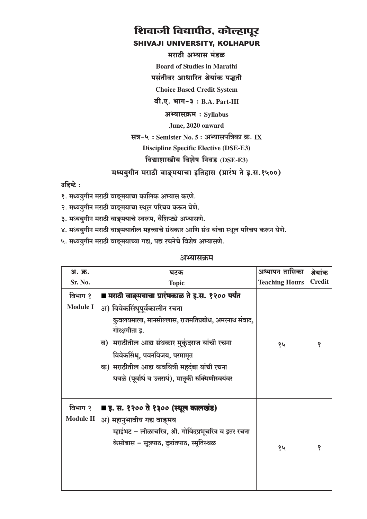मराठी अभ्यास मंडळ

**Board of Studies in Marathi** 

पसंतीवर आधारित श्रेयांक पद्धती

**Choice Based Credit System** 

बी.ए. भाग-३: B.A. Part-III

अभ्यासक्रम: Syllabus

June, 2020 onward

सत्र-५: Semister No. 5: अभ्यासपत्रिका क्र. IX

**Discipline Specific Elective (DSE-E3)** 

#### विद्याशाखीय विशेष निवड (DSE-E3)

मध्ययुगीन मराठी वाङ्मयाचा इतिहास (प्रारंभ ते इ.स.१५००)

उद्दिष्टे:

- १. मध्ययुगीन मराठी वाङ्मयाचा कालिक अभ्यास करणे.
- २. मध्ययुगीन मराठी वाङ्मयाचा स्थूल परिचय करून घेणे.
- ३. मध्ययुगीन मराठी वाङ्मयाचे स्वरूप, वैशिष्ट्ये अभ्यासणे.
- ४. मध्ययुगीन मराठी वाङ्मयातील महत्त्वाचे ग्रंथकार आणि ग्रंथ यांचा स्थूल परिचय करून घेणे.
- ५. मध्ययुगीन मराठी वाङ्मयाच्या गद्य, पद्य रचनेचे विशेष अभ्यासणे.

| अ. क्र.                     | घटक                                                                                                                                                                                                                                                                                                                                                 | अध्यापन तासिका        | श्रेयांक      |
|-----------------------------|-----------------------------------------------------------------------------------------------------------------------------------------------------------------------------------------------------------------------------------------------------------------------------------------------------------------------------------------------------|-----------------------|---------------|
| Sr. No.                     | <b>Topic</b>                                                                                                                                                                                                                                                                                                                                        | <b>Teaching Hours</b> | <b>Credit</b> |
| विभाग १<br><b>Module I</b>  | ■ मराठी वाङ्मयाचा प्रारंभकाळ ते इ.स. १२०० पर्यंत<br>अ) विवेकसिंधूपूर्वकालीन रचना<br>कुवलयमाला, मानसोल्लास, राजमतिप्रबोध, अमरनाथ संवाद,<br>गोरक्षगीता इ.<br>मराठीतील आद्य ग्रंथकार मुकुंदराज यांची रचना<br>ब)<br>विवेकसिंधू, पवनविजय, परमामृत<br>क) मराठीतील आद्य कवयित्री महदंबा यांची रचना<br>धवळे (पूर्वार्ध व उत्तरार्ध), मातृकी रुक्मिणीस्वयंवर | १५                    | १             |
| विभाग २<br><b>Module II</b> | ■ इ. स. १२०० ते १३०० (स्थूल कालखंड)<br>अ) महानुभावीय गद्य वाङ्मय<br>म्हाइंभट – लीळाचरित्र, श्री. गोविंदप्रभूचरित्र व इतर रचना<br>केसोबास – सूत्रपाठ, दृष्टांतपाठ, स्मृतिस्थळ                                                                                                                                                                        | १५                    | १             |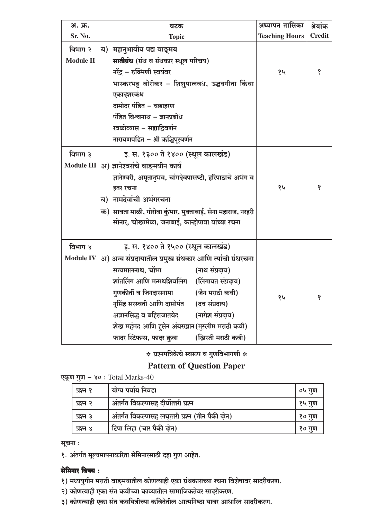| अ. क्र.           | घटक                                                          | अध्यापन तासिका        | श्रेयांक      |
|-------------------|--------------------------------------------------------------|-----------------------|---------------|
| Sr. No.           | <b>Topic</b>                                                 | <b>Teaching Hours</b> | <b>Credit</b> |
| विभाग २           | महानुभावीय पद्य वाङ्मय<br>ब)                                 |                       |               |
| <b>Module II</b>  | सातीग्रंथ (ग्रंथ व ग्रंथकार स्थूल परिचय)                     |                       |               |
|                   | नरेंद्र – रुक्मिणी स्वयंवर                                   | १५                    | १             |
|                   | भास्करभट्ट बोरीकर – शिशुपालवध, उद्धवगीता किंवा               |                       |               |
|                   | एकादशस्कंध                                                   |                       |               |
|                   | दामोदर पंडित – वछाहरण                                        |                       |               |
|                   | पंडित विश्वनाथ – ज्ञानप्रबोध                                 |                       |               |
|                   | खळोव्यास – सह्याद्रिवर्णन                                    |                       |               |
|                   | नारायणपंडित – श्री ऋद्धिपूरवर्णन                             |                       |               |
| विभाग ३           | इ. स. १३०० ते १४०० (स्थूल कालखंड)                            |                       |               |
| <b>Module III</b> | अ) ज्ञानेश्वरांचे वाङ्मयीन कार्य                             |                       |               |
|                   | ज्ञानेश्वरी, अमृतानुभव, चांगदेवपासष्टी, हरिपाठाचे अभंग व     |                       |               |
|                   | इतर रचना                                                     | १५                    | १             |
|                   | ब) नामदेवांची अभंगरचना                                       |                       |               |
|                   | क)  सावता माळी, गोरोबा कुंभार, मुक्ताबाई, सेना महाराज, नरहरी |                       |               |
|                   | सोनार, चोखामेळा, जनाबाई, कान्होपात्रा यांच्या रचना           |                       |               |
|                   |                                                              |                       |               |
| विभाग ४           | इ. स. १४०० ते १५०० (स्थूल कालखंड)                            |                       |               |
| <b>Module IV</b>  | अ) अन्य संप्रदायातील प्रमुख ग्रंथकार आणि त्यांची ग्रंथरचना   |                       |               |
|                   | सत्यमालनाथ, चोंभा<br>(नाथ संप्रदाय)                          |                       |               |
|                   | शांतलिंग आणि मन्मथशिवलिंग (लिंगायत संप्रदाय)                 |                       |               |
|                   | गुणकीर्ती व जिनदासनामा<br>(जैन मराठी कवी)                    | १५                    | १             |
|                   | नृसिंह सरस्वती आणि दासोपंत<br>(दत्त संप्रदाय)                |                       |               |
|                   | अज्ञानसिद्ध व बहिराजातवेद<br>(नागेश संप्रदाय)                |                       |               |
|                   | शेख महंमद आणि हसेन अंबरखान (मुस्लीम मराठी कवी)               |                       |               |
|                   | फादर स्टिफन्स, फादर क्रुवा<br>(ख्रिस्ती मराठी कवी)           |                       |               |

#### **Pattern of Question Paper**

|  |  |  |  | एकूण गुण – ४० : Total Marks-40 |
|--|--|--|--|--------------------------------|
|--|--|--|--|--------------------------------|

| प्रश्न १ | योग्य पर्याय निवडा                               | ०५ गुण |
|----------|--------------------------------------------------|--------|
| प्रश्न २ | अंतर्गत विकल्पासह दीर्घोत्तरी प्रश्न             | १५ गुण |
| प्रश्न ३ | अंतर्गत विकल्पासह लघूत्तरी प्रश्न (तीन पैकी दोन) | १० गुण |
| प्रश्न ४ | टिपा लिहा (चार पैकी दोन)                         | १० गुण |

सूचना :

१. अंतर्गत मूल्यमापनाकरिता सेमिनारसाठी दहा गुण आहेत.

#### सेमिनार विषय:

- १) मध्ययुगीन मराठी वाङ्मयातील कोणत्याही एका ग्रंथकाराच्या रचना विशेषावर सादरीकरण.
- २) कोणत्याही एका संत कवीच्या काव्यातील सामाजिकतेवर सादरीकरण.
- ३) कोणत्याही एका संत कवयित्रीच्या कवितेतील आत्मनिष्ठा यावर आधारित सादरीकरण.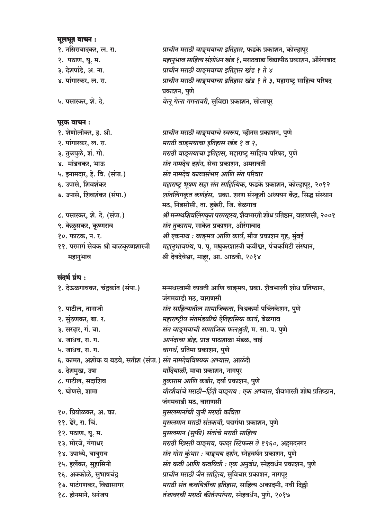# मूलभूत वाचन :

| $\mathbf{v}$ , $\mathbf{v}$ , $\mathbf{v}$ , $\mathbf{v}$ |                                                                     |
|-----------------------------------------------------------|---------------------------------------------------------------------|
| १. नसिराबादकर, ल. रा.                                     | प्राचीन मराठी वाङ्मयाचा इतिहास, फडके प्रकाशन, कोल्हापूर             |
| २. पठाण, यू. म.                                           | महानुभाव साहित्य संशोधन खंड ?, मराठवाडा विद्यापीठ प्रकाशन, औरंगाबाद |
| ३. देशपांडे, अ. ना.                                       | प्राचीन मराठी वाङ्मयाचा इतिहास खंड १ ते ४                           |
| ४. पांगारकर, ल. रा.                                       | प्राचीन मराठी वाङ्मयाचा इतिहास खंड १ ते ३, महाराष्ट्र साहित्य परिषद |
|                                                           | प्रकाशन, पुणे                                                       |
| ५. पसारकर, शे. दे.                                        | वेलू गेला गगनावरी, सुविद्या प्रकाशन, सोलापूर                        |
|                                                           |                                                                     |
|                                                           |                                                                     |

| पूरक वाचन:                             |                                                                       |
|----------------------------------------|-----------------------------------------------------------------------|
| १. शेणोलीकर, ह. श्री.                  | प्राचीन मराठी वाङ्मयाचे स्वरूप, व्हीनस प्रकाशन, पुणे                  |
| २. पांगारकर, ल. रा.                    | मराठी वाङ्मयाचा इतिहास खंड १ व २,                                     |
| ३. तुळपुळे, शं. गो.                    | मराठी वाङ्मयाचा इतिहास, महाराष्ट्र साहित्य परिषद, पुणे                |
| ४. मांडवकर, भाऊ                        | संत नामदेव दर्शन, सेवा प्रकाशन, अमरावती                               |
| ५. इनामदार, हे. वि. (संपा.)            | संत नामदेव काव्यसंभार आणि संत परिवार                                  |
| ६. उपासे, शिवशंकर                      | महाराष्ट्र भूषण सहा संत साहित्यिक, फडके प्रकाशन, कोल्हापूर, २०१२      |
| ७. उपासे, शिवशंकर (संपा.)              | शांतलिंगकृत कर्णहंस, प्रका. शरण संस्कृती अध्ययन केंद्र, सिद्ध संस्थान |
|                                        | मठ, निडसोसी, ता. हक्केरी, जि. बेळगाव                                  |
| ८. पसारकर, शे. दे. (संपा.)             | श्री मन्मथशिवलिंगकृत परमरहस्य, शैवभारती शोध प्रतिष्ठान, वाराणसी, २००१ |
| ९. केळुसकर, कृष्णराव                   | संत तुकाराम, साकेत प्रकाशन, औरंगाबाद                                  |
| १०. फाटक, न. र.                        | श्री एकनाथ : वाङ्मय आणि कार्य, मौज प्रकाशन गृह, मुंबई                 |
| ११. परमार्ग सेवक श्री बाळकृष्णशास्त्री | महानुभावपंथ, प. पू. मधुकरशास्त्री कवीश्वर, पंचकमिटी संस्थान,          |
| महानुभाव                               | श्री देवदेवेश्वर, माहूर, आ. आठवी, २०१४                                |

| संदर्भ ग्रंथ :                                                          |                                                                     |
|-------------------------------------------------------------------------|---------------------------------------------------------------------|
| १. देऊळगावकर, चंद्रकांत (संपा.)                                         | मन्मथस्वामी व्यक्ती आणि वाङ्मय, प्रका. शैवभारती शोध प्रतिष्ठान,     |
|                                                                         | जंगमवाडी मठ, वाराणसी                                                |
| १. पाटील, तानाजी                                                        | संत साहित्यातील सामाजिकता, विश्वकर्मा पब्लिकेशन, पुणे               |
| २. सुंठणकर, बा. र.                                                      | महाराष्ट्रीय संतमंडळीचे ऐतिहासिक कार्य, बेळगाव                      |
| ३. सरदार, गं. बा.                                                       | संत वाङ्मयाची सामाजिक फलश्रुती, म. सा. प. पुणे                      |
| ४. जाधव, रा. ग.                                                         | <i>आनंदाचा डोह,</i> प्राज्ञ पाठशाळा मंडळ, वाई                       |
| ५. जाधव, रा. ग.                                                         | वागर्थ, प्रतिमा प्रकाशन, पुणे                                       |
| ६. कामत, अशोक व बडवे, सतीश (संपा.) <i>संत नामदेवविषयक अभ्यास,</i> आळंदी |                                                                     |
| ७. देशमुख, उषा                                                          | <i>मांदियाळी,</i> माया प्रकाशन, नागपूर                              |
| ८. पाटील, सदाशिव                                                        | तकाराम आणि कबीर, दर्या प्रकाशन, पुणे                                |
| ९. घोणसे, शामा                                                          | वीरशैवांचे मराठी-हिंदी वाङ्मय : एक अभ्यास, शैवभारती शोध प्रतिष्ठान, |
|                                                                         | जंगमवाडी मठ, वाराणसी                                                |
| १०. प्रियोळकर, अ. का.                                                   | मुसलमानांची जुनी मराठी कविता                                        |
| ११. ढेरे, रा. चिं.                                                      | मुसलमान मराठी संतकवी, पद्मगंधा प्रकाशन, पुणे                        |
| १२. पठाण, यू. म.                                                        | मुसलमान (सुफी) संतांचे मराठी साहित्य                                |
| १३. मोरजे, गंगाधर                                                       | मराठी ख्रिस्ती वाङ्मय, फादर स्टिफन्स ते १९६०, अहमदनगर               |
| १४. उपाध्ये, बाबुराव                                                    | संत गोरा कुंभार : वाङ्मय दर्शन, स्नेहवर्धन प्रकाशन, पुणे            |
| १५. इर्लेकर, सुहासिनी                                                   | संत कवी आणि कवयित्री : एक अनुबंध, स्नेहवर्धन प्रकाशन, पुणे          |
| १६. अक्कोळे, सुभाषचंद्र                                                 | प्राचीन मराठी जैन साहित्य, सुविचार प्रकाशन, नागपूर                  |
| १७. पाटंगणकर, विद्यासागर                                                | मराठी संत कवयित्रींचा इतिहास, साहित्य अकादमी, नवी दिल्ली            |
| १८. होनमाने, धनंजय                                                      | तंजावरची मराठी कीर्तनपरंपरा, स्नेहवर्धन, पुणे, २०१७                 |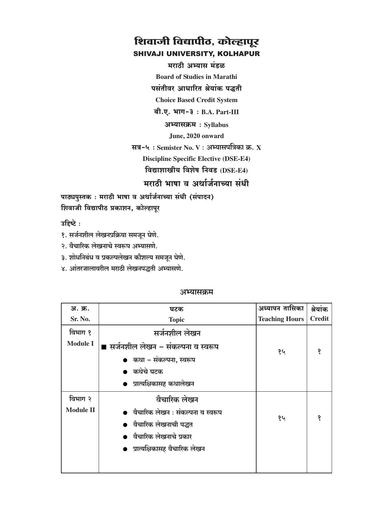मराठी अभ्यास मंडळ

**Board of Studies in Marathi** 

पसंतीवर आधारित श्रेयांक पद्धती

**Choice Based Credit System** 

 $a$ ी.ए. भाग-३: B.A. Part-III

अभ्यासक्रम: Syllabus

June, 2020 onward

सत्र-५: Semister No. V: अभ्यासपत्रिका क्र. X **Discipline Specific Elective (DSE-E4)** विद्याशाखीय विशेष निवड (DSE-E4)

मराठी भाषा व अर्थार्जनाच्या संधी

पाठ्यपुस्तक: मराठी भाषा व अर्थार्जनाच्या संधी (संपादन) शिवाजी विद्यापीठ प्रकाशन, कोल्हापूर

उद्दिष्टे:

१. सर्जनशील लेखनप्रक्रिया समजून घेणे.

२. वैचारिक लेखनाचे स्वरूप अभ्यासणे.

३. शोधनिबंध व प्रकल्पलेखन कौशल्य समजून घेणे.

४. आंतरजालावरील मराठी लेखनपद्धती अभ्यासणे.

| अ. क्र.          | घटक                                 | अध्यापन तासिका        | श्रेयांक      |
|------------------|-------------------------------------|-----------------------|---------------|
| Sr. No.          | <b>Topic</b>                        | <b>Teaching Hours</b> | <b>Credit</b> |
| विभाग १          | सर्जनशील लेखन                       |                       |               |
| <b>Module I</b>  | ■ सर्जनशील लेखन – संकल्पना व स्वरूप | १५                    |               |
|                  | ● कथा – संकल्पना, स्वरूप            |                       |               |
|                  | ● कथेचे घटक                         |                       |               |
|                  | ● प्रात्यक्षिकासह कथालेखन           |                       |               |
| विभाग २          | वैचारिक लेखन                        |                       |               |
| <b>Module II</b> | ● वैचारिक लेखन : संकल्पना व स्वरूप  |                       |               |
|                  | ● वैचारिक लेखनाची पद्धत             | १५                    | 9             |
|                  | ● वैचारिक लेखनाचे प्रकार            |                       |               |
|                  | ● प्रात्यक्षिकासह वैचारिक लेखन      |                       |               |
|                  |                                     |                       |               |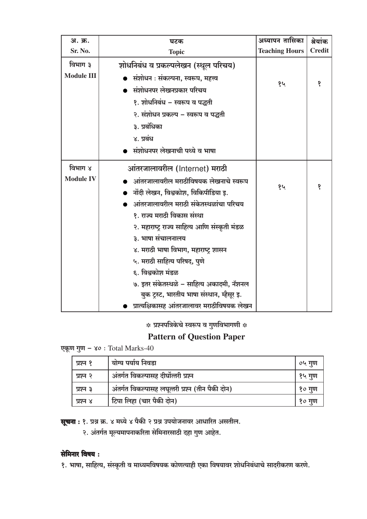| अ. क्र.           | घटक                                           | अध्यापन तासिका        | श्रेयांक      |
|-------------------|-----------------------------------------------|-----------------------|---------------|
| Sr. No.           | <b>Topic</b>                                  | <b>Teaching Hours</b> | <b>Credit</b> |
| विभाग ३           | शोधनिबंध व प्रकल्पलेखन (स्थूल परिचय)          |                       |               |
| <b>Module III</b> | संशोधन : संकल्पना, स्वरूप, महत्त्व            |                       |               |
|                   | संशोधनपर लेखनप्रकार परिचय                     | १५                    | १             |
|                   | १. शोधनिबंध – स्वरूप व पद्धती                 |                       |               |
|                   | २. संशोधन प्रकल्प – स्वरूप व पद्धती           |                       |               |
|                   | ३. प्रबंधिका                                  |                       |               |
|                   | ४. प्रबंध                                     |                       |               |
|                   | संशोधनपर लेखनाची पथ्ये व भाषा                 |                       |               |
| विभाग ४           | आंतरजालावरील (Internet) मराठी                 |                       |               |
| <b>Module IV</b>  | आंतरजालावरील मराठीविषयक लेखनाचे स्वरूप        |                       |               |
|                   | नोंदी लेखन, विश्वकोश, विकिपीडिया इ.           | १५                    | १             |
|                   | आंतरजालावरील मराठी संकेतस्थळांचा परिचय        |                       |               |
|                   | १. राज्य मराठी विकास संस्था                   |                       |               |
|                   | २. महाराष्ट्र राज्य साहित्य आणि संस्कृती मंडळ |                       |               |
|                   | ३. भाषा संचालनालय                             |                       |               |
|                   | ४. मराठी भाषा विभाग, महाराष्ट्र शासन          |                       |               |
|                   | ५. मराठी साहित्य परिषद, पुणे                  |                       |               |
|                   | ६. विश्वकोश मंडळ                              |                       |               |
|                   | ७. इतर संकेतस्थळे – साहित्य अकादमी, नॅशनल     |                       |               |
|                   | बुक ट्रस्ट, भारतीय भाषा संस्थान, म्हैसूर इ.   |                       |               |
|                   | प्रात्यक्षिकासह आंतरजालावर मराठीविषयक लेखन    |                       |               |

# **Pattern of Question Paper**

एकूण गुण - ४०: Total Marks-40

| प्रश्न १ | योग्य पर्याय निवडा                               | ०५ गुण |
|----------|--------------------------------------------------|--------|
| प्रश्न २ | अंतर्गत विकल्पासह दीर्घोत्तरी प्रश्न             | १५ गुण |
| प्रश्न ३ | अंतर्गत विकल्पासह लघूत्तरी प्रश्न (तीन पैकी दोन) | १० गुण |
| प्रश्न ४ | टिपा लिहा (चार पैकी दोन)                         | १० गुण |

**सूचना :** १. प्रश्न क्र. ४ मध्ये ४ पैकी २ प्रश्न उपयोजनावर आधारित असतील.

२. अंतर्गत मूल्यमापनाकरिता सेमिनारसाठी दहा गुण आहेत.

## सेमिनार विषय :

१. भाषा, साहित्य, संस्कृती व माध्यमविषयक कोणत्याही एका विषयावर शोधनिबंधाचे सादरीकरण करणे.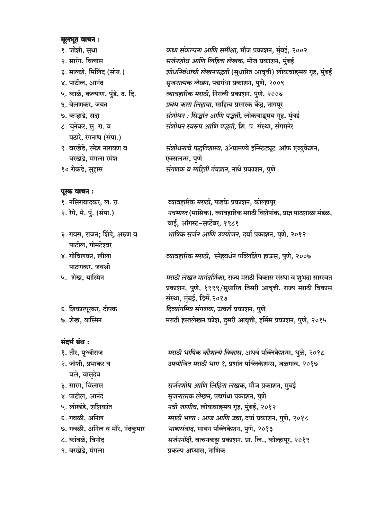#### मूलभूत वाचन:

१. जोशी, सुधा २. सारंग, विलास ३. मालशे, मिलिंद (संपा.) ४. पाटील, आनंद ५. काळे, कल्याण, पुंडे, द. दि. ६. वेलणकर, जयंत ७. कऱ्हाडे. सदा ८. चुनेकर, सु. रा. व पठारे, रंगनाथ (संपा.) ९. वरखेडे, रमेश नारायण व वरखेडे. मंगला रमेश १०.रोकडे, सुहास

#### पूरक वाचन:

१. नसिराबादकर, ल. रा. २. रेगे, मे. पुं. (संपा.) ३. गवस, राजन; शिंदे, अरुण व पाटील, गोमटेश्वर ४. गोविलकर, लीला पाटणकर, जयश्री ५. शेख. यास्मिन

६. शिकारपूरकर, दीपक ७. शेख, यास्मिन

संदर्भ ग्रंथ:

१. तौर, पृथ्वीराज २. जोशी, प्रभाकर व वले, वासुदेव ३. सारंग, विलास ४. पाटील, आनंद ५. लोखंडे, शशिकांत ६. गवळी, अनिल ७. गवळी, अनिल व मोरे, नंदकुमार ८. कांबळे, विनोद ९. वरखेडे, मंगला

कथा संकल्पना आणि समीक्षा, मौज प्रकाशन, मुंबई, २००२ सर्जनशोध आणि लिहिता लेखक, मौज प्रकाशन, मुंबई शोधनिबंधाची लेखनपद्धती (सुधारित आवृत्ती) लोकवाङ्मय गृह, मुंबई *सृजनात्मक लेखन,* पद्मगंधा प्रकाशन, पुणे, २००९ व्यावहारिक मराठी, निराली प्रकाशन, पुणे, २००७ प्रबंध कसा लिहावा. साहित्य प्रसारक केंद्र. नागपुर संशोधन : सिद्धांत आणि पद्धती, लोकवाङ्मय गृह, मुंबई संशोधन स्वरूप आणि पद्धती. शि. प्र. संस्था. संगमनेर

संशोधनाचे पद्धतिशास्त्र, ॐग्रामण्ये इन्स्टिट्यूट ऑफ एज्युकेशन, एक्सलन्स, पुणे संगणक व माहिती तंत्रज्ञान, नाथे प्रकाशन, पुणे

व्यावहारिक मराठी, फडके प्रकाशन, कोल्हापूर नवभारत (मासिक), व्यावहारिक मराठी विशेषांक, प्राज्ञ पाठशाळा मंडळ, वाई, ऑगस्ट–सप्टेंबर, १९८१ भाषिक सर्जन आणि उपयोजन, दर्या प्रकाशन, पुणे, २०१२

व्यावहारिक मराठी, स्नेहवर्धन पब्लिशिंग हाऊस, पुणे, २००७

मराठी लेखन मार्गदर्शिका, राज्य मराठी विकास संस्था व शुभदा सारस्वत प्रकाशन, पुणे, १९९९/सुधारित तिसरी आवृत्ती, राज्य मराठी विकास संस्था, मुंबई, डिसें.२०१७ दिव्यांगमित्र संगणक, उत्कर्ष प्रकाशन, पुणे मराठी हस्तलेखन कोश, दसरी आवृत्ती, हर्मिस प्रकाशन, पुणे, २०१५

मराठी भाषिक कौशल्ये विकास, अथर्व पब्लिकेशन्स, धुळे, २०१८ उपयोजित मराठी भाग १. प्रशांत पब्लिकेशन्स, जळगाव, २०१७

सर्जनशोध आणि लिहिता लेखक, मौज प्रकाशन, मुंबई सृजनात्मक लेखन, पद्मगंधा प्रकाशन, पुणे नवी जाणीव, लोकवाङ्मय गृह, मुंबई, २०१२ मराठी भाषा : आज आणि उद्या, दर्या प्रकाशन, पुणे, २०१८ भाषासंवाद, सायन पब्लिकेशन, पुणे, २०१३ सर्जननोंदी, वाचनकट्टा प्रकाशन, प्रा. लि., कोल्हापूर, २०१९ प्रकल्प अभ्यास, नाशिक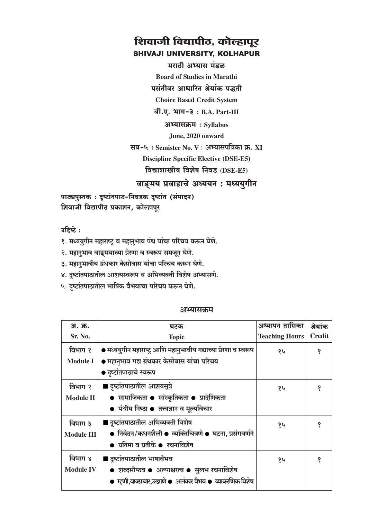मराठी अभ्यास मंडळ

**Board of Studies in Marathi** 

पसंतीवर आधारित श्रेयांक पद्धती

**Choice Based Credit System** 

 $d. \nabla. \nabla \cdot \mathbf{H} = \partial \cdot B.A.$  Part-III

अभ्यासक्रम: Syllabus

June, 2020 onward

सत्र-५: Semister No. V: अभ्यासपत्रिका क्र. XI **Discipline Specific Elective (DSE-E5)** विद्याशाखीय विशेष निवड (DSE-E5)

वाङ्मय प्रवाहाचे अध्ययन : मध्ययुगीन

पाठ्यपुस्तकः दृष्टांतपाठ-निवडक दृष्टांत (संपादन) शिवाजी विद्यापीठ प्रकाशन, कोल्हापूर

उहिष्टे:

१. मध्ययुगीन महाराष्ट्र व महानुभाव पंथ यांचा परिचय करून घेणे.

२. महानुभाव वाङ्मयाच्या प्रेरणा व स्वरूप समजून घेणे.

३. महानुभावीय ग्रंथकार केसोबास यांचा परिचय करून घेणे.

४. दृष्टांतपाठातील आशयस्वरूप व अभिव्यक्ती विशेष अभ्यासणे.

५. दृष्टांतपाठातील भाषिक वैभवाचा परिचय करून घेणे.

#### अभ्यासकम

| अ. क्र.           | घटक                                                              | अध्यापन तासिका        | श्रेयांक      |
|-------------------|------------------------------------------------------------------|-----------------------|---------------|
| Sr. No.           | <b>Topic</b>                                                     | <b>Teaching Hours</b> | <b>Credit</b> |
| विभाग १           | ● मध्ययुगीन महाराष्ट्र आणि महानुभावीय गद्याच्या प्रेरणा व स्वरूप | १५                    | १             |
| <b>Module I</b>   | ● महानुभाव गद्य ग्रंथकार केसोबास यांचा परिचय                     |                       |               |
|                   | ● दृष्टांतपाठाचे स्वरूप                                          |                       |               |
| विभाग २           | ■ दृष्टांतपाठातील आशयसूत्रे                                      | १५                    | १             |
| <b>Module II</b>  | • सामाजिकता • सांस्कृतिकता • प्रादेशिकता                         |                       |               |
|                   | ● पंथीय निष्ठा ● तत्त्वज्ञान व मूल्यविचार                        |                       |               |
| विभाग ३           | ■ दृष्टांतपाठातील अभिव्यक्ती विशेष                               | १५                    | १             |
| <b>Module III</b> | • निवेदन/कथनशैली • व्यक्तिचित्रणे • घटना, प्रसंगवर्णने           |                       |               |
|                   | ● प्रतिमा व प्रतीके ● रचनाविशेष                                  |                       |               |
| विभाग ४           | ■ दृष्टांतपाठातील भाषावैभव                                       | १५                    | १             |
| <b>Module IV</b>  | ● शब्दसौष्ठव ● अल्पाक्षरत्व ● सुलभ रचनाविशेष                     |                       |               |
|                   | ● म्हणी,वाक्प्रचार,उखाणे ● अलंकार वैभव ● व्याकरणिक विशेष         |                       |               |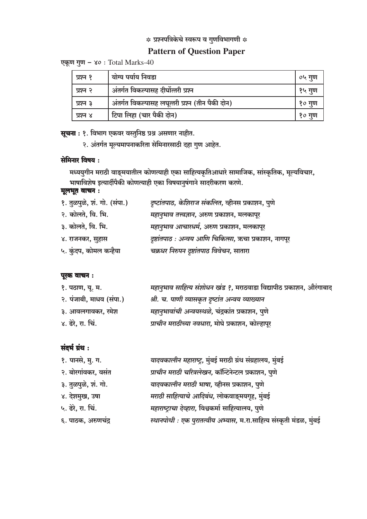#### **Pattern of Question Paper**

एकूण गुण - ४० : Total Marks-40

| प्रश्न १ | योग्य पर्याय निवडा                               | ०५ गुण |
|----------|--------------------------------------------------|--------|
| प्रश्न २ | अंतर्गत विकल्पासह दीर्घोत्तरी प्रश्न             | १५ गुण |
| प्रश्न ३ | अंतर्गत विकल्पासह लघूत्तरी प्रश्न (तीन पैकी दोन) | १० गुण |
| प्रश्न ४ | टिपा लिहा (चार पैकी दोन)                         | १० गूण |

# **सूचना** : १. विभाग एकवर वस्तुनिष्ठ प्रश्न असणार नाहीत.

२. अंतर्गत मूल्यमापनाकरिता सेमिनारसाठी दहा गुण आहेत.

#### सेमिनार विषय:

मध्ययुगीन मराठी वाङ्मयातील कोणत्याही एका साहित्यकृतिआधारे सामाजिक, सांस्कृतिक, मूल्यविचार, भाषाविशेष इत्यार्दीपैकी कोणत्याही एका विषयानुषंगाने सादरीकरण करणे.

#### मूलभूत वाचन :

| १. तुळपुळे, शं. गो. (संपा.) | दृष्टांतपाठ, केशिराज संकलित, व्हीनस प्रकाशन, पुणे     |
|-----------------------------|-------------------------------------------------------|
| २. कोलते, वि. भि.           | महानुभाव तत्त्वज्ञान, अरुण प्रकाशन, मलकापूर           |
| ३. कोलते, वि. भि.           | महानुभाव आचारधर्म, अरुण प्रकाशन, मलकापूर              |
| ४. राजनकर, सुहास            | दृष्टांतपाठ : अन्वय आणि चिकित्सा, ऋचा प्रकाशन, नागपूर |
| ५. कुंदप, कोमल कन्हैया      | चक्रधर निरुपन दृष्टांतपाठ विवेचन, सातारा              |
|                             |                                                       |

#### पूरक वाचन:

| १. पठाण, यू. म.          | महानुभाव साहित्य संशोधन खंड ?, मराठवाडा विद्यापीठ प्रकाशन, औरंगाबाद |
|--------------------------|---------------------------------------------------------------------|
| २. पंजाबी, माधव (संपा.)  | श्री. च. पाणी व्यासकृत दृष्टांत अन्वय व्याख्यान                     |
| ३. आवलगावकर, रमेश        | महानुभावांची अन्वयस्थळे, चंद्रकांत प्रकाशन, पुणे                    |
| ४. ढेरे, <b>रा.</b> चिं. | प्राचीन मराठीच्या नवधारा, मोघे प्रकाशन, कोल्हापूर                   |

| १. पानसे, मु. ग.    | यादवकालीन महाराष्ट्र, मुंबई मराठी ग्रंथ संग्रहालय, मुंबई            |
|---------------------|---------------------------------------------------------------------|
| २. बोरगांवकर, वसंत  | प्राचीन मराठी चरित्रलेखन, कॉन्टिनेन्टल प्रकाशन, पुणे                |
| ३. तुळपुळे, शं. गो. | यादवकालीन मराठी भाषा, व्हीनस प्रकाशन, पुणे                          |
| ४. देशमुख, उषा      | मराठी साहित्याचे आदिबंध, लोकवाङ्मयगृह, मुंबई                        |
| ५. ढेरे, रा. चिं.   | महाराष्ट्राचा देव्हारा, विश्वकर्मा साहित्यालय, पुणे                 |
| ६. पाठक, अरुणचंद्र  | स्थानपोथी : एक पुरातत्वीय अभ्यास, म.रा.साहित्य संस्कृती मंडळ, मुंबई |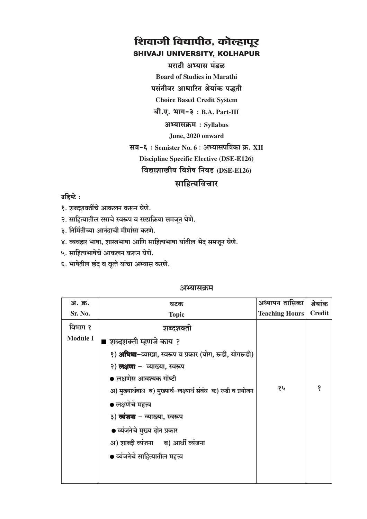मराठी अभ्यास मंडळ

**Board of Studies in Marathi** 

पसंतीवर आधारित श्रेयांक पद्धती

**Choice Based Credit System** 

 $a$ ी.ए. भाग-३: B.A. Part-III

अभ्यासक्रम: Syllabus

June, 2020 onward

सत्र-६: Semister No. 6: अभ्यासपत्रिका क्र. XII

**Discipline Specific Elective (DSE-E126)** 

विद्याशाखीय विशेष निवड (DSE-E126)

#### साहित्यविचार

#### उद्दिष्टे:

- १. शब्दशक्तींचे आकलन करून घेणे.
- २. साहित्यातील रसाचे स्वरूप व रसप्रक्रिया समजून घेणे.
- ३. निर्मितीच्या आनंदाची मीमांसा करणे.
- ४. व्यवहार भाषा, शास्त्रभाषा आणि साहित्यभाषा यांतील भेद समजून घेणे.
- ५. साहित्यभाषेचे आकलन करून घेणे.
- ६. भाषेतील छंद व वृत्ते यांचा अभ्यास करणे.

| अ. क्र.         | घटक                                                             | अध्यापन तासिका        | श्रेयांक      |
|-----------------|-----------------------------------------------------------------|-----------------------|---------------|
| Sr. No.         | <b>Topic</b>                                                    | <b>Teaching Hours</b> | <b>Credit</b> |
| विभाग १         | शब्दशक्ती                                                       |                       |               |
| <b>Module I</b> | ■ शब्दशक्ती म्हणजे काय ?                                        |                       |               |
|                 | १) <b>अभिधा</b> -व्याखा, स्वरूप व प्रकार (योग, रूढी, योगरूढी)   |                       |               |
|                 | २) <b>लक्षणा</b> –  व्याख्या, स्वरूप                            |                       |               |
|                 | ● लक्षणेस आवश्यक गोष्टी                                         |                       |               |
|                 | अ) मुख्यार्थबाध ब) मुख्यार्थ-लक्ष्यार्थ संबंध क) रूढी व प्रयोजन | १५                    | १             |
|                 | ● लक्षणेचे महत्त्व                                              |                       |               |
|                 | ३) <b>व्यंजना</b> – व्याख्या, स्वरूप                            |                       |               |
|                 | ● व्यंजनेचे मुख्य दोन प्रकार                                    |                       |               |
|                 | अ) शाब्दी व्यंजना ब) आर्थी व्यंजना                              |                       |               |
|                 | ● व्यंजनेचे साहित्यातील महत्त्व                                 |                       |               |
|                 |                                                                 |                       |               |
|                 |                                                                 |                       |               |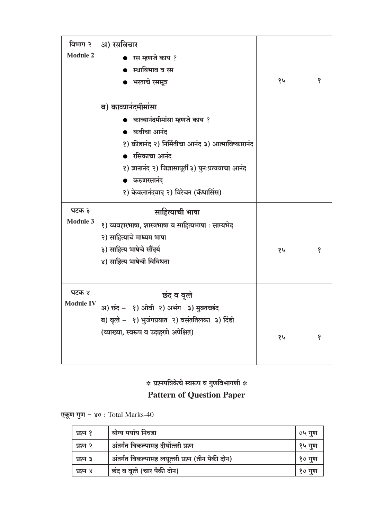| विभाग २                   | अ) रसविचार                                            |    |   |
|---------------------------|-------------------------------------------------------|----|---|
| <b>Module 2</b>           | ● रस म्हणजे काय ?                                     |    |   |
|                           | ● स्थायिभाव व रस                                      |    |   |
|                           | ● भरताचे रससूत्र                                      | १५ | १ |
|                           |                                                       |    |   |
|                           | ब) काव्यानंदमीमांसा                                   |    |   |
|                           | ● काव्यानंदमीमांसा म्हणजे काय ?                       |    |   |
|                           | ● कवीचा आनंद                                          |    |   |
|                           | १) क्रीडानंद २) निर्मितीचा आनंद ३) आत्माविष्कारानंद   |    |   |
|                           | रसिकाचा आनंद                                          |    |   |
|                           | १) ज्ञानानंद २) जिज्ञासापूर्ती ३) पुनःप्रत्ययाचा आनंद |    |   |
|                           | करुणरसानंद                                            |    |   |
|                           | १) केवलानंदवाद २) विरेचन (कॅथार्सिस)                  |    |   |
| घटक ३                     | साहित्याची भाषा                                       |    |   |
| <b>Module 3</b>           | १) व्यवहारभाषा, शास्त्रभाषा व साहित्यभाषा : साम्यभेद  |    |   |
|                           |                                                       |    |   |
|                           | २) साहित्याचे माध्यम भाषा                             |    |   |
|                           | ३) साहित्य भाषेचे सौंदर्य                             | १५ | १ |
|                           | ४) साहित्य भाषेची विविधता                             |    |   |
|                           |                                                       |    |   |
|                           |                                                       |    |   |
| घटक ४<br><b>Module IV</b> | छंद व वृत्ते                                          |    |   |
|                           | अ) छंद - १) ओवी २) अभंग ३) मुक्तच्छंद                 |    |   |
|                           | ब) वृत्ते - १) भुजंगप्रयात २) वसंततिलका ३) दिंडी      |    |   |
|                           | (व्याख्या, स्वरूप व उदाहरणे अपेक्षित)                 | १५ | १ |
|                           |                                                       |    |   |

# $\ast$  प्रश्नपत्रिकेचे स्वरूप व गुणविभागणी  $\ast$ **Pattern of Question Paper**

एकूण गुण - ४० : Total Marks-40

| प्रश्न १ | योग्य पर्याय निवडा                               | ०५ गुण |
|----------|--------------------------------------------------|--------|
| प्रश्न २ | अंतर्गत विकल्पासह दीर्घोत्तरी प्रश्न             | १५ गुण |
| प्रश्न ३ | अंतर्गत विकल्पासह लघूत्तरी प्रश्न (तीन पैकी दोन) | १० गुण |
| प्रश्न ४ | छंद व वृत्ते (चार पैकी दोन)                      | १० गुण |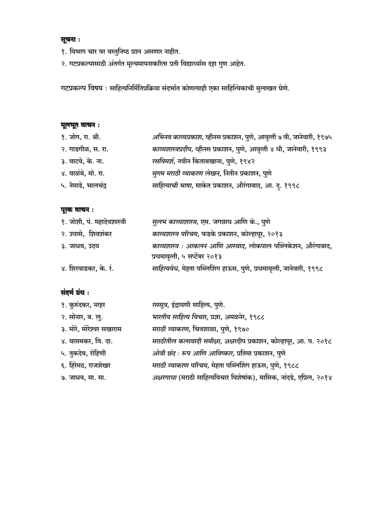#### सूचना :

- १. विभाग चार वर वस्तुनिष्ठ प्रश्न असणार नाहीत.
- २. गटप्रकल्पासाठी अंतर्गत मूल्यमापनाकरिता प्रती विद्यार्थ्यास दहा गुण आहेत.

गटप्रकल्प विषय : साहित्यनिर्मितिप्रक्रिया संदर्भात कोणत्याही एका साहित्यिकाची मुलाखत घेणे.

#### मूलभूत वाचन :

| $\mathbf{r}$ , $\mathbf{r}$ , $\mathbf{r}$ , $\mathbf{r}$ , $\mathbf{r}$ |                                                                        |
|--------------------------------------------------------------------------|------------------------------------------------------------------------|
| १. जोग, रा. श्री.                                                        | अभिनव काव्यप्रकाश, व्हीनस प्रकाशन, पुणे, आवृत्ती ७ वी, जानेवारी, १९७५  |
| २. गाडगीळ, स. रा.                                                        | काव्यशास्त्रप्रदीप, व्हीनस प्रकाशन, पुणे, आवृत्ती ४ थी, जानेवारी, १९९३ |
| ३. वाटवे, के. ना.                                                        | रसविमर्श, नवीन किताबखाना, पुणे, १९४२                                   |
| ४. वाळंबे, मो. रा.                                                       | सुगम मराठी व्याकरण लेखन, नितीन प्रकाशन, पुणे                           |
| ५. नेमाडे, भालचंद्र                                                      | साहित्याची भाषा, साकेत प्रकाशन, औरंगाबाद, आ. दु. १९९८                  |

#### पूरक वाचन :

| १. जोशी, पं. महादेवशास्त्री | सुलभ काव्याशास्त्र, एस. जगन्नाथ आणि कं., पुणे                                                |
|-----------------------------|----------------------------------------------------------------------------------------------|
| २. उपासे, शिवशंकर           | काव्यशास्त्र परिचय, फडके प्रकाशन, कोल्हापूर, २०१३                                            |
| ३. जाधव, उदय                | काव्यशास्त्र : आकलन आणि आस्वाद, लोकपाल पब्लिकेशन, औरंगाबाद,<br>प्रथमावृत्ती, ५ सप्टेंबर २०१३ |
| ४. शिरवाडकर, के. रं.        | साहित्यवेध, मेहता पब्लिशिंग हाऊस, पुणे, प्रथमावृत्ती, जानेवारी, १९९८                         |

| १. कुरुंदकर, नरहर        | रससूत्र, इंद्रायणी साहित्य, पुणे.                                    |
|--------------------------|----------------------------------------------------------------------|
| २. सोनार, ब. लु.         | भारतीय साहित्य विचार, प्रज्ञा, अमळनेर, १९८८                          |
| ३. मोरे, मोरेश्वर सखाराम | मराठी व्याकरण, चित्रशाळा, पुणे, १९७०                                 |
| ४. वासमकर, वि. दा.       | मराठीतील कलावादी समीक्षा, अक्षरदीप प्रकाशन, कोल्हापूर, आ. प. २०१८    |
| ५. तुकदेव, रोहिणी        | ओवी छंद: रूप आणि आविष्कार, प्रतिमा प्रकाशन, पुणे                     |
| ६. हिरेमठ, राजशेखर       | मराठी व्याकरण परिचय, मेहता पब्लिशिंग हाऊस, पुणे, १९८८                |
| ७. जाधव, मा. मा.         | अक्षरगाथा (मराठी साहित्यविचार विशेषांक), मासिक, नांदडे, एप्रिल, २०१४ |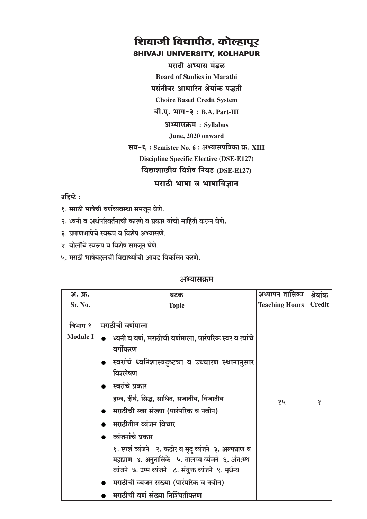मराठी अभ्यास मंडळ **Board of Studies in Marathi** पसंतीवर आधारित श्रेयांक पद्धती

**Choice Based Credit System** 

 $a$ ी.ए. भाग-३: B.A. Part-III

अभ्यासक्रम: Syllabus

June, 2020 onward

सत्र-६: Semister No. 6: अभ्यासपत्रिका क्र. XIII

**Discipline Specific Elective (DSE-E127)** 

विद्याशाखीय विशेष निवड (DSE-E127)

मराठी भाषा व भाषाविज्ञान

उद्दिष्टे:

- १. मराठी भाषेची वर्णव्यवस्था समजून घेणे.
- २. ध्वनी व अर्थपरिवर्तनाची कारणे व प्रकार यांची माहिती करून घेणे.
- ३. प्रमाणभाषेचे स्वरूप व विशेष अभ्यासणे.
- ४. बोलींचे स्वरूप व विशेष समजून घेणे.
- ५. मराठी भाषेबद्दलची विद्यार्थ्यांची आवड विकसित करणे.

| अ. क्र.                    | घटक                                                                                                                                                                                                                                                                                                                                                                                                                                                                                                                                                                                   | अध्यापन तासिका        | श्रेयांक      |
|----------------------------|---------------------------------------------------------------------------------------------------------------------------------------------------------------------------------------------------------------------------------------------------------------------------------------------------------------------------------------------------------------------------------------------------------------------------------------------------------------------------------------------------------------------------------------------------------------------------------------|-----------------------|---------------|
| Sr. No.                    | <b>Topic</b>                                                                                                                                                                                                                                                                                                                                                                                                                                                                                                                                                                          | <b>Teaching Hours</b> | <b>Credit</b> |
| विभाग १<br><b>Module I</b> | मराठीची वर्णमाला<br>● ध्वनी व वर्ण, मराठीची वर्णमाला, पारंपरिक स्वर व त्यांचे<br>वर्गीकरण<br>●   स्वरांचे  ध्वनिशास्त्रदृष्ट्या  व  उच्चारण  स्थानानुसार<br>विश्लेषण<br>स्वरांचे प्रकार<br>हस्व, दीर्घ, सिद्ध, साधित, सजातीय, विजातीय<br>मराठीची स्वर संख्या (पारंपरिक व नवीन)<br>मराठीतील व्यंजन विचार<br>व्यंजनांचे प्रकार<br>१. स्पर्श व्यंजने १. कठोर व मृद् व्यंजने ३. अल्पप्राण व<br>महाप्राण ४. अनुनासिके ५. तालव्य व्यंजने ६. अंतःस्थ<br>व्यंजने ७. उष्म व्यंजने ८. संयुक्त व्यंजने ९. मृर्धन्य<br>मराठीची व्यंजन संख्या (पारंपरिक व नवीन)<br>मराठीची वर्ण संख्या निश्चितीकरण | १५                    | १             |
|                            |                                                                                                                                                                                                                                                                                                                                                                                                                                                                                                                                                                                       |                       |               |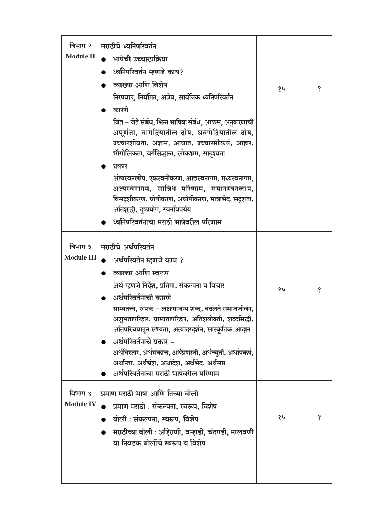| विभाग २<br><b>Module II</b>  | मराठीचे ध्वनिपरिवर्तन<br>भाषेची उच्चारप्रक्रिया<br>ध्वनिपरिवर्तन म्हणजे काय?<br>व्याख्या आणि विशेष<br>निरपवाद, नियमित, अज्ञेय, सार्वत्रिक ध्वनिपरिवर्तन<br>कारणे<br>जित – जेते संबंध, भिन्न भाषिक संबंध, आळस, अनुकरणाची<br>अपूर्णता, वार्गेद्रियातील दोष, श्रवणेंद्रियातील दोष,<br>उच्चारशीघ्रता, अज्ञान, आघात, उच्चारसौकर्य, आहार,<br>भौगोलिकता, वर्गसिद्धान्त, लोकभ्रम, सादृश्यता<br>प्रकार<br>अंत्यस्वनलोप, एकस्वनीकरण, आद्यस्वनागम, मध्यस्वनागम,<br>अंत्यस्वनागम, सान्निध परिणाम, समानस्वनलोप,<br>विसदृशीकरण, घोषीकरण, अघोषीकरण, मात्राभेद, सदृशता,<br>अतिशुद्धी, दुष्प्रयोग, स्वनविपर्यय<br>ध्वनिपरिवर्तनाचा मराठी भाषेवरील परिणाम | १५ | १ |
|------------------------------|-----------------------------------------------------------------------------------------------------------------------------------------------------------------------------------------------------------------------------------------------------------------------------------------------------------------------------------------------------------------------------------------------------------------------------------------------------------------------------------------------------------------------------------------------------------------------------------------------------------------------------------------|----|---|
| विभाग ३<br><b>Module III</b> | मराठीचे अर्थपरिवर्तन<br>अर्थपरिवर्तन म्हणजे काय ?<br>व्याख्या आणि स्वरूप<br>अर्थ म्हणजे निर्देश, प्रतिमा, संकल्पना व विचार<br>अर्थपरिवर्तनाची कारणे<br>साम्यतत्त्व, रूपक – लक्षणाजन्य शब्द, बदलते समाजजीवन,<br>अशुभतापरिहार, ग्राम्यतापरिहार, अतिशयोक्ती, शब्दसिद्धी,<br>अतिपरिचयातून सभ्यता, अत्यादरदर्शन, सांस्कृतिक आदान<br>अर्थपरिवर्तनाचे प्रकार –<br>अर्थविस्तार, अर्थसंकोच, अर्थप्रशस्ती, अर्थच्युती, अर्थापकर्ष,<br>अर्थान्तर, अर्थभ्रंश, अर्थादेश, अर्थभेद, अर्थसार<br>अर्थपरिवर्तनाचा मराठी भाषेवरील परिणाम                                                                                                                   | १५ | १ |
| विभाग ४<br><b>Module IV</b>  | प्रमाण मराठी भाषा आणि तिच्या बोली<br>प्रमाण मराठी : संकल्पना, स्वरूप, विशेष<br>बोली : संकल्पना, स्वरूप, विशेष<br>मराठीच्या बोली : अहिराणी, वऱ्हाडी, चंदगडी, मालवणी<br>या निवडक बोलींचे स्वरूप व विशेष                                                                                                                                                                                                                                                                                                                                                                                                                                   | १५ | १ |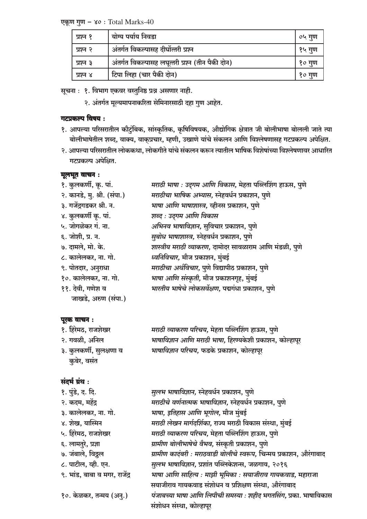एकूण गुण – ४०: Total Marks-40

| प्रश्न १ | योग्य पर्याय निवडा                               | ०५ गुण |
|----------|--------------------------------------------------|--------|
| प्रश्न २ | अंतर्गत विकल्पासह दीर्घोत्तरी प्रश्न             | १५ गुण |
| प्रश्न ३ | अंतर्गत विकल्पासह लघूत्तरी प्रश्न (तीन पैकी दोन) | १० गूण |
| प्रश्न ४ | टिपा लिहा (चार पैकी दोन)                         | १० गण  |

सूचना : १. विभाग एकवर वस्तुनिष्ठ प्रश्न असणार नाही.

२. अंतर्गत मूल्यमापनाकरिता सेमिनारसाठी दहा गुण आहेत.

#### गटप्रकल्प विषय:

- १. आपल्या परिसरातील कौटुंबिक, सांस्कृतिक, कृषिविषयक, औद्योगिक क्षेत्रात जी बोलीभाषा बोलली जाते त्या बोलीभाषेतील शब्द, वाक्य, वाक्प्रचार, म्हणी, उखाणे यांचे संकलन आणि विश्लेषणासह गटप्रकल्प अपेक्षित.
- २. आपल्या परिसरातील लोककथा, लोकगीते यांचे संकलन करून त्यातील भाषिक विशेषांच्या विश्लेषणावर आधारित गटप्रकल्प अपेक्षित.

#### मूलभूत वाचन:

| १. कुलकर्णी, कृ. पां.       | मराठी भाषा : उद्गम आणि विकास, मेहता पब्लिशिंग हाऊस, पुणे |
|-----------------------------|----------------------------------------------------------|
| २. कानडे, मु. श्री. (संपा.) | मराठीचा भाषिक अभ्यास, स्नेहवर्धन प्रकाशन, पुणे           |
| ३. गजेंद्रगडकर श्री. न.     | भाषा आणि भाषाशास्त्र, व्हीनस प्रकाशन, पुणे               |
| ४. कुलकर्णी कृ. पां.        | शब्द : उदुगम आणि विकास                                   |
| ५. जोगळेकर गं. ना.          | अभिनव भाषाविज्ञान, सुविचार प्रकाशन, पुणे                 |
| ६. जोशी, प्र. न.            | सुबोध भाषाशास्त्र, स्नेहवर्धन प्रकाशन, पुणे              |
| ७. दामले, मो. के.           | शास्त्रीय मराठी व्याकरण, दामोदर सावळाराम आणि मंडळी, पुणे |
| ८. कालेलकर, ना. गो.         | ध्वनिविचार, मौज प्रकाशन, मुंबई                           |
| ९. पोतदार, अनुराधा          | मराठीचा अर्थविचार, पुणे विद्यापीठ प्रकाशन, पुणे          |
| १०. कालेलकर, ना. गो.        | भाषा आणि संस्कृती, मौज प्रकाशनगृह, मुंबई                 |
| ११. देवी, गणेश व            | भारतीय भाषेचे लोकसर्वेक्षण, पद्मगंधा प्रकाशन, पुणे       |
| जाखडे, अरुण (संपा.)         |                                                          |

#### पूरक वाचन:

| १. हिरेमठ, राजशेखर      | मराठी व्याकरण परिचय, मेहता पब्लिशिंग हाऊस, पुणे           |
|-------------------------|-----------------------------------------------------------|
| २. गवळी, अनिल           | भाषाविज्ञान आणि मराठी भाषा, हिरण्यकेशी प्रकाशन, कोल्हापूर |
| ३. कुलकर्णी, सुलक्षणा व | भाषाविज्ञान परिचय, फडके प्रकाशन, कोल्हापूर                |

#### संदर्भ ग्रंथ:

१. पुंडे, द. दि.

कुबेर, वसंत

- २. कदम, महेंद्र
- ३. कालेलकर, ना. गो.
- ४. शेख, यास्मिन
- ५. हिरेमठ, राजशेखर
- ६. लामतुरे, प्रज्ञा
- ७. जंबाले, विठ्ठल
- ८. पाटील, व्ही. एन.
- ९. भांड, बाबा व मगर, राजेंद्र
- १०. केळकर, तन्मय (अनु.)

सुलभ भाषाविज्ञान, स्नेहवर्धन प्रकाशन, पुणे मराठीचे वर्णनात्मक भाषाविज्ञान, स्नेहवर्धन प्रकाशन, पुणे भाषा, इतिहास आणि भूगोल, मौज मुंबई मराठी लेखन मार्गदर्शिका, राज्य मराठी विकास संस्था, मुंबई मराठी व्याकरण परिचय, मेहता पब्लिशिंग हाऊस, पुणे ग्रामीण बोलीभाषेचे वैभव, संस्कृती प्रकाशन, पुणे ग्रामीण कादंबरी : मराठवाडी बोलीचे स्वरूप, चिन्मय प्रकाशन, औरंगाबाद *सुलभ भाषाविज्ञान,* प्रशांत पब्लिकेशन्स, जळगाव, २०१६ भाषा आणि साहित्य : माझी भूमिका : सयाजीराव गायकवाड, महाराजा सयाजीराव गायकवाड संशोधन व प्रशिक्षण संस्था, औरंगाबाद पंजाबच्या भाषा आणि लिपीची समस्या : शहीद भगतसिंग, प्रका. भाषाविकास संशोधन संस्था, कोल्हापूर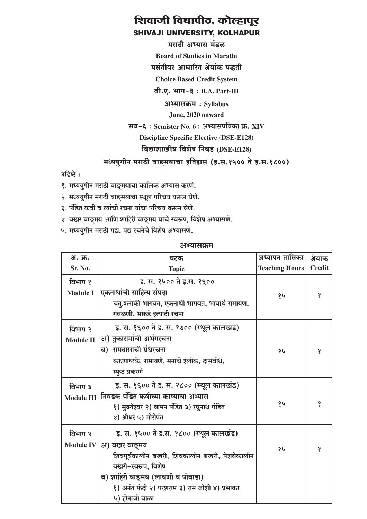#### मराठी अभ्यास मंडळ

**Board of Studies in Marathi** 

पसंतीवर आधारित श्रेयांक पद्धती

**Choice Based Credit System** 

 $d. \nabla. \nabla \cdot \mathbf{H} = \partial \cdot B.A.$  Part-III

#### अभ्यासक्रम: Syllabus

June, 2020 onward

#### सत्र-६: Semister No. 6: अभ्यासपत्रिका क्र. XIV

#### **Discipline Specific Elective (DSE-E128)**

## विद्याशाखीय विशेष निवड (DSE-E128)

#### मध्ययुगीन मराठी वाङ्मयाचा इतिहास (इ.स.१५०० ते इ.स.१८००)

उहिष्टे:

- १. मध्ययुगीन मराठी वाङ्मयाचा कालिक अभ्यास करणे.
- २. मध्ययुगीन मराठी वाङ्मयाचा स्थूल परिचय करून घेणे.
- ३. पंडित कवी व त्यांची रचना यांचा परिचय करून घेणे.
- ४. बखर वाङ्मय आणि शाहिरी वाङ्मय यांचे स्वरूप, विशेष अभ्यासणे.
- ५. मध्ययुगीन मराठी गद्य, पद्य रचनेचे विशेष अभ्यासणे.

| अ. क्र.                      | घटक                                                                                                                                                                                                                                    | अध्यापन तासिका        | श्रेयांक      |
|------------------------------|----------------------------------------------------------------------------------------------------------------------------------------------------------------------------------------------------------------------------------------|-----------------------|---------------|
| Sr. No.                      | <b>Topic</b>                                                                                                                                                                                                                           | <b>Teaching Hours</b> | <b>Credit</b> |
| विभाग १<br><b>Module I</b>   | इ. स. १५०० ते इ.स. १६००<br>एकनाथांची साहित्य संपदा<br>चतुःश्लोकी भागवत, एकनाथी भागवत, भावार्थ रामायण,<br>गवळणी, भारुडे इत्यादी रचना                                                                                                    | १५                    | १             |
| विभाग २<br><b>Module II</b>  | इ. स. १६०० ते इ. स. १७०० (स्थूल कालखंड)<br>अ) तुकारामांची अभंगरचना<br>ब) रामदासांची ग्रंथरचना<br>करुणाष्टके, रामायणे, मनाचे श्लोक, दासबोध,<br>स्फुट प्रकरणे                                                                            | १५                    | १             |
| विभाग ३<br><b>Module III</b> | इ. स. १६०० ते इ. स. १८०० (स्थूल कालखंड)<br>निवडक पंडित कवींच्या काव्याचा अभ्यास<br>१) मुक्तेश्वर २) वामन पंडित ३) रघुनाथ पंडित<br>४) श्रीधर ५) मोरोपंत                                                                                 | १५                    | १             |
| विभाग ४<br><b>Module IV</b>  | इ. स. १५०० ते इ.स. १८०० (स्थूल कालखंड)<br>अ) बखर वाङ्मय<br>शिवपूर्वकालीन बखरी, शिवकालीन बखरी, पेशवेकालीन<br>बखरी-स्वरूप, विशेष<br>ब) शाहिरी वाङ्मय (लावणी व पोवाडा)<br>१) अनंत फंदी २) परशराम ३) राम जोशी ४) प्रभाकर<br>५) होनाजी बाळा | १५                    | १             |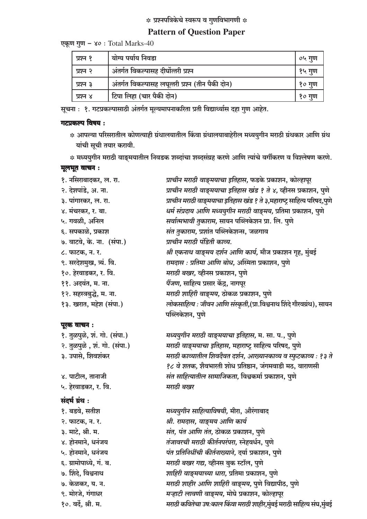#### **Pattern of Question Paper**

एकूण गुण - ४०: Total Marks-40

| प्रश्न १ | योग्य पर्याय निवडा                               | ०५ गुण   |
|----------|--------------------------------------------------|----------|
| प्रश्न २ | अंतर्गत विकल्पासह दीर्घोत्तरी प्रश्न             | १५ गुण   |
| प्रश्न ३ | अंतर्गत विकल्पासह लघूत्तरी प्रश्न (तीन पैकी दोन) | १० गुण   |
| प्रश्न ४ | टिपा लिहा (चार पैकी दोन)                         | , १० गुण |

सूचना : १. गटप्रकल्पासाठी अंतर्गत मूल्यमापनाकरिता प्रती विद्यार्थ्यास दहा गुण आहेत.

#### गटप्रकल्प विषय:

\* आपल्या परिसरातील कोणत्याही ग्रंथालयातील किंवा ग्रंथालयाबाहेरील मध्ययुगीन मराठी ग्रंथकार आणि ग्रंथ यांची सूची तयार करावी.

\* मध्ययुगीन मराठी वाङ्मयातील निवडक शब्दांचा शब्दसंग्रह करणे आणि त्यांचे वर्गीकरण व विश्लेषण करणे.

#### मूलभूत वाचन:

१. नसिराबादकर, ल. रा. प्राचीन मराठी वाङ्मयाचा इतिहास, फडके प्रकाशन, कोल्हापूर २. देशपांडे, अ. ना. प्राचीन मराठी वाङ्मयाचा इतिहास खंड १ ते ४, व्हीनस प्रकाशन, पुणे प्राचीन मराठी वाङ्मयाचा इतिहास खंड ? ते ३,महाराष्ट्र साहित्य परिषद,पुणे ३. पांगारकर, ल. रा. धर्म संप्रदाय आणि मध्ययुगीन मराठी वाङ्मय, प्रतिमा प्रकाशन, पुणे ४. मंचरकर, र. बा. सर्वात्मभावी तुकाराम, सायन पब्लिकेशन प्रा. लि. पुणे ५. गवळी. अनिल संत तुकाराम, प्रशांत पब्लिकेशन्स, जळगाव ६. सपकाळे, प्रकाश ७. वाटवे, के. ना. (संपा.) प्राचीन मराठी पंडिती काव्य. ८. फाटक, न. र. श्री एकनाथ वाङ्मय दर्शन आणि कार्य, मौज प्रकाशन गृह, मुंबई रामदास : प्रतिमा आणि बोध, अस्मिता प्रकाशन, पुणे ९. सरदेशमुख, त्र्यं. वि. मराठी बखर, व्हीनस प्रकाशन, पुणे १०. हेरवाडकर, र. वि. पैंजण, साहित्य प्रसार केंद्र, नागपूर ११. अदवंत, म. ना. मराठी शाहिरी वाङ्मय, ठोकळ प्रकाशन, पुणे १२. सहस्त्रबुद्धे, म. ना. लोकसाहित्य : जीवन आणि संस्कृती,(प्रा.विश्वनाथ शिंदे गौरवग्रंथ), सायन १३. खरात, महेश (संपा.) पब्लिकेशन, पणे

#### मध्ययुगीन मराठी वाङ्मयाचा इतिहास, म. सा. प., पुणे मराठी वाङ्मयाचा इतिहास, महाराष्ट्र साहित्य परिषद, पुणे मराठी काव्यातील शिवदैवत दर्शन, आख्यानकाव्य व स्फुटकाव्य : १३ ते १८ वे शतक, शैवभारती शोध प्रतिष्ठान, जंगमवाडी मठ, वाराणसी संत साहित्यातील सामाजिकता, विश्वकर्मा प्रकाशन, पुणे मराठी बखर

मध्ययुगीन साहित्याविषयी, मीरा, औरंगाबाद श्री. रामदास, वाङ्मय आणि कार्य संत, पंत आणि तंत, ठोकळ प्रकाशन, पुणे तंजावरची मराठी कीर्तनपरंपरा, स्नेहवर्धन, पुणे पंत प्रतिनिधींची कीर्तनाख्याने, दर्या प्रकाशन, पुणे मराठी बखर गद्य, व्हीनस बुक स्टॉल, पुणे शाहिरी वाङ्मयाच्या धारा, प्रतिमा प्रकाशन, पुणे मराठी शाहीर आणि शाहिरी वाङ्मय, पुणे विद्यापीठ, पुणे मऱ्हाटी लावणी वाङ्मय, मोघे प्रकाशन, कोल्हापूर मराठी कवितेचा उष:काल किंवा मराठी शाहीर,मुंबई मराठी साहित्य संघ,मुंबई

#### पूरक वाचन:

१. तळपळे, शं. गो. (संपा.) २. तुळपुळे, शं. गो. (संपा.) ३. उपासे, शिवशंकर

४. पाटील, तानाजी ५. हेरवाडकर, र. वि.

#### संदर्भ ग्रंथ :

१. बडवे, सतीश २. फाटक, न. र. ३. माटे, श्री. म. ४. होनमाने. धनंजय ५. होनमाने, धनंजय ६. ग्रामोपाध्ये, गं. ब. ७. शिंदे, विश्वनाथ ७. केळकर, य. न. ९. मोरजे, गंगाधर १०. वर्दे, श्री. म.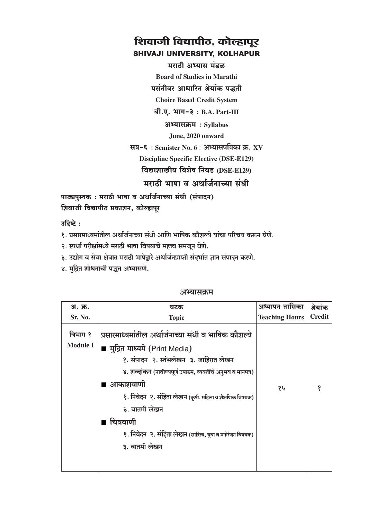मराठी अभ्यास मंडळ **Board of Studies in Marathi** 

पसंतीवर आधारित श्रेयांक पद्धती

**Choice Based Credit System** 

 $a$ ी.ए. भाग-३: B.A. Part-III

अभ्यासक्रम: Syllabus

June, 2020 onward

सत्र-६: Semister No. 6: अभ्यासपत्रिका क्र. XV **Discipline Specific Elective (DSE-E129)** विद्याशाखीय विशेष निवड (DSE-E129)

मराठी भाषा व अर्थार्जनाच्या संधी

पाठ्यपुस्तक: मराठी भाषा व अर्थार्जनाच्या संधी (संपादन) शिवाजी विद्यापीठ प्रकाशन, कोल्हापूर

उद्दिष्टे:

१. प्रसारमाध्यमांतील अर्थार्जनाच्या संधी आणि भाषिक कौशल्ये यांचा परिचय करून घेणे.

२. स्पर्धा परीक्षांमध्ये मराठी भाषा विषयाचे महत्त्व समजून घेणे.

३. उद्योग व सेवा क्षेत्रात मराठी भाषेद्रारे अर्थार्जनप्राप्ती संदर्भात ज्ञान संपादन करणे.

४. मुद्रित शोधनाची पद्धत अभ्यासणे.

| अ. क्र.                    | घटक                                                                                                                                                                                                                                                                                                                                                                                     | अध्यापन तासिका        | श्रेयांक      |
|----------------------------|-----------------------------------------------------------------------------------------------------------------------------------------------------------------------------------------------------------------------------------------------------------------------------------------------------------------------------------------------------------------------------------------|-----------------------|---------------|
| Sr. No.                    | <b>Topic</b>                                                                                                                                                                                                                                                                                                                                                                            | <b>Teaching Hours</b> | <b>Credit</b> |
| विभाग १<br><b>Module I</b> | प्रसारमाध्यमांतील अर्थार्जनाच्या संधी व भाषिक कौशल्ये<br>■ मुद्रित माध्यमे (Print Media)<br>१. संपादन २. स्तंभलेखन ३. जाहिरात लेखन<br>४. शब्दांकन (नावीण्यपूर्ण उपक्रम, व्यक्तींचे अनुभव व मानपत्र)<br>■ आकाशवाणी<br>१. निवेदन २. संहिता लेखन (कृषी, महिला व शैक्षणिक विषयक)<br>३. बातमी लेखन<br>चित्रवाणी<br>१. निवेदन २. संहिता लेखन (साहित्य, युवा व मनोरंजन विषयक)<br>३. बातमी लेखन | १५                    | १             |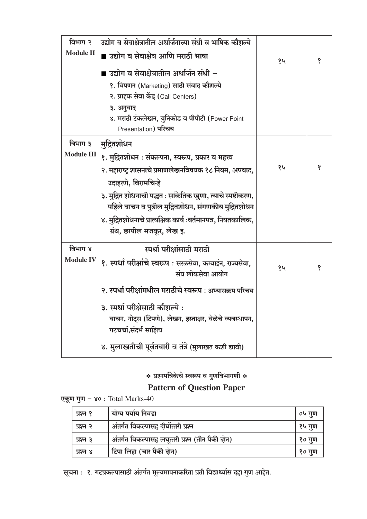| विभाग २           | उद्योग व सेवाक्षेत्रातील अर्थार्जनाच्या संधी व भाषिक कौशल्ये  |    |   |
|-------------------|---------------------------------------------------------------|----|---|
| <b>Module II</b>  | ■ उद्योग व सेवाक्षेत्र आणि मराठी भाषा                         |    | १ |
|                   | ■ उद्योग व सेवाक्षेत्रातील अर्थार्जन संधी –                   | १५ |   |
|                   |                                                               |    |   |
|                   | १. विपणन (Marketing) साठी संवाद कौशल्ये                       |    |   |
|                   | २. ग्राहक सेवा केंद्र (Call Centers)                          |    |   |
|                   | ३. अनुवाद                                                     |    |   |
|                   | ४. मराठी टंकलेखन, युनिकोड व पीपीटी (Power Point               |    |   |
|                   | Presentation) परिचय                                           |    |   |
| विभाग ३           | मुद्रितशोधन                                                   |    |   |
| <b>Module III</b> | १. मुद्रितशोधन : संकल्पना, स्वरूप, प्रकार व महत्त्व           |    |   |
|                   | २. महाराष्ट्र शासनाचे प्रमाणलेखनविषयक १८ नियम, अपवाद,         | १५ | १ |
|                   | उदाहरणे, विरामचिन्हे                                          |    |   |
|                   | ३. मुद्रित शोधनाची पद्धत : सांकेतिक खुणा, त्याचे स्पष्टीकरण,  |    |   |
|                   | पहिले वाचन व पुढील मुद्रितशोधन, संगणकीय मुद्रितशोधन           |    |   |
|                   | ४. मुद्रितशोधनाचे प्रात्यक्षिक कार्य :वर्तमानपत्र, नियतकालिक, |    |   |
|                   | ग्रंथ, छापील मजकूर, लेख इ.                                    |    |   |
| विभाग ४           | स्पर्धा परीक्षांसाठी मराठी                                    |    |   |
| <b>Module IV</b>  | १. स्पर्धा परीक्षांचे स्वरूप : सरळसेवा, कम्बाईन, राज्यसेवा,   | १५ | १ |
|                   | संघ लोकसेवा आयोग                                              |    |   |
|                   | २. स्पर्धा परीक्षांमधील मराठीचे स्वरूप : अभ्यासक्रम परिचय     |    |   |
|                   | ३. स्पर्धा परीक्षेसाठी कौशल्ये :                              |    |   |
|                   | वाचन, नोट्स (टिपणे), लेखन, हस्ताक्षर, वेळेचे व्यवस्थापन,      |    |   |
|                   | गटचर्चा,संदर्भ साहित्य                                        |    |   |
|                   | ४. मुलाखतीची पूर्वतयारी व तंत्रे (मुलाखत कशी द्यावी)          |    |   |

# **Pattern of Question Paper**

एकूण गुण - ४० : Total Marks-40

| प्रश्न १ | योग्य पर्याय निवडा                               | ०५ गुण |
|----------|--------------------------------------------------|--------|
| प्रश्न २ | अंतर्गत विकल्पासह दीर्घोत्तरी प्रश्न             | १५ गुण |
| प्रश्न ३ | अंतर्गत विकल्पासह लघूत्तरी प्रश्न (तीन पैकी दोन) | १० गुण |
| प्रश्न ४ | टिपा लिहा (चार पैकी दोन)                         | १० गुण |

सूचना : १. गटप्रकल्पासाठी अंतर्गत मूल्यमापनाकरिता प्रती विद्यार्थ्यास दहा गुण आहेत.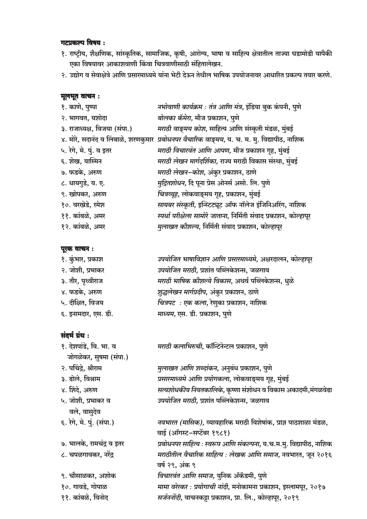#### गटप्रकल्प विषय:

- १. राष्ट्रीय, शैक्षणिक, सांस्कृतिक, सामाजिक, कृषी, आरोग्य, भाषा व साहित्य क्षेत्रातील ताज्या घडामोडी यापैकी एका विषयावर आकाशवाणी किंवा चित्रवाणीसाठी संहितालेखन.
- २. उद्योग व सेवाक्षेत्रे आणि प्रसारमाध्यमे यांना भेटी देऊन तेथील भाषिक उपयोजनावर आधारित प्रकल्प तयार करणे.

#### मूलभूत वाचन:

| १. काणे, पुष्पा                     | नभोवाणी कार्यक्रम : तंत्र आणि मंत्र, इंडिया बुक कंपनी, पुणे        |
|-------------------------------------|--------------------------------------------------------------------|
| २. भागवत, यशोदा                     | बोलका कॅमेरा, मौज प्रकाशन, पुणे                                    |
| ३. राजाध्यक्ष, विजया (संपा.)        | मराठी वाङ्मय कोश, साहित्य आणि संस्कृती मंडळ, मुंबई                 |
| ४. मोरे, सदानंद व लिंबाळे, शरणकुमार | प्रबोधनपर वैचारिक वाङ्मय, य. च. म. मु. विद्यापीठ, नाशिक            |
| ५. रेगे, मे. पुं. व इतर             | मराठी विचारवंत आणि आपण, मौज प्रकाशन गृह, मुंबई                     |
| ६. शेख, यास्मिन                     | मराठी लेखन मार्गदर्शिका, राज्य मराठी विकास संस्था, मुंबई           |
| ७. फडके, अरुण                       | मराठी लेखन–कोश, अंकुर प्रकाशन, ठाणे                                |
| ८. धायगुडे, य. ए.                   | मुद्रितशोधन, दि पूना प्रेस ओनर्स असो. लि. पुणे                     |
| ९. खोपकर, अरुण                      | चित्रव्यूह, लोकवाङ्मय गृह, प्रकाशन, मुंबई                          |
| १०. वरखेडे, रमेश                    | सायबर संस्कृती, इन्स्टिट्यूट ऑफ नॉलेज इंजिनिअरिंग, नाशिक           |
| ११. कांबळे, अमर                     | स्पर्धा परीक्षेला सामोरे जाताना, निर्मिती संवाद प्रकाशन, कोल्हापूर |
| १२. कांबळे, अमर                     | मुलाखत कौशल्य, निर्मिती संवाद प्रकाशन, कोल्हापूर                   |

#### पूरक वाचन :

| १. कुंभार, प्रकाश   | उपयोजित भाषाविज्ञान आणि प्रसारमाध्यमे, अक्षरदालन, कोल्हापूर |
|---------------------|-------------------------------------------------------------|
| २. जोशी, प्रभाकर    | उपयोजित मराठी, प्रशांत पब्लिकेशन्स, जळगाव                   |
| ३. तौर, पृथ्वीराज   | मराठी भाषिक कौशल्ये विकास, अथर्व पब्लिकेशन्स, धुळे          |
| ४. फडके, अरुण       | शुद्धलेखन मार्गप्रदीप, अंकुर प्रकाशन, ठाणे                  |
| ५. दीक्षित, विजय    | चित्रपट : एक कला, रेणुका प्रकाशन, नाशिक                     |
| ६. इनामदार, एस. डी. | माध्यम, एस. डी. प्रकाशन, पुणे                               |
|                     |                                                             |

| १. देशपांडे, वि. भा. व    | मराठी कलाभिरुची, कॉन्टिनेन्टल प्रकाशन, पुणे                         |
|---------------------------|---------------------------------------------------------------------|
| जोगळेकर, सुषमा (संपा.)    |                                                                     |
| २. पचिंद्रे, श्रीराम      | मुलाखत आणि शब्दांकन, अनुबंध प्रकाशन, पुणे                           |
| ३. ढोले, विश्राम          | प्रसारमाध्यमे आणि प्रयोगकला, लोकवाङ्मय गृह, मुंबई                   |
| ४. शिंदे, अरुण            | सत्यशोधकीय नियतकालिके, कृष्णा संशोधन व विकास अकादमी,मंगळवेढा        |
| ५. जोशी, प्रभाकर व        | <i>उपयोजित मराठी</i> , प्रशांत पब्लिकेशन्स, जळगाव                   |
| वले, वासुदेव              |                                                                     |
| ६. रेगे, मे. पुं. (संपा.) | नवभारत (मासिक), व्यावहारिक मराठी विशेषांक, प्राज्ञ पाठशाळा मंडळ,    |
|                           | वाई (ऑगस्ट-सप्टेंबर १९८१)                                           |
| ७. भालके, रामचंद्र व इतर  | प्रबोधनपर साहित्य : स्वरूप आणि संकल्पना, य.च.म.मु. विद्यापीठ, नाशिक |
| ८. चपळगावकर, नरेंद्र      | मराठीतील वैचारिक साहित्य : लेखक आणि समाज, नवभारत, जून २०१६          |
|                           | वर्ष २९, अंक ९                                                      |
| ९. चौसाळकर, अशोक          | विचारवंत आणि समाज, युनिक ॲकॅडमी, पुणे                               |
| १०. गावडे, गोपाळ          | मामा वरेरकर : प्रयोगाची नांदी, मनोकामना प्रकाशन, इस्लामपूर, २०१७    |
| ११. कांबळे, विनोद         | सर्जननोंदी, वाचनकड़ा प्रकाशन, प्रा. लि., कोल्हापूर, २०१९            |
|                           |                                                                     |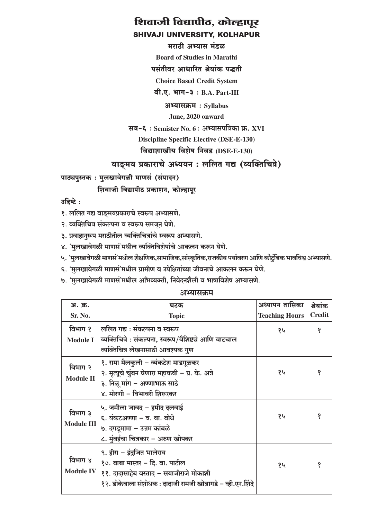#### मराठी अभ्यास मंडळ

**Board of Studies in Marathi** 

पसंतीवर आधारित श्रेयांक पद्धती

**Choice Based Credit System** 

बी.ए. भाग-३: B.A. Part-III

अभ्यासक्रम: Syllabus

June, 2020 onward

सत्र-६: Semister No. 6: अभ्यासपत्रिका क्र. XVI

**Discipline Specific Elective (DSE-E-130)** 

विद्याशाखीय विशेष निवड (DSE-E-130)

#### वाङ्मय प्रकाराचे अध्ययन: ललित गद्य (व्यक्तिचित्रे)

पाठ्यपुस्तकः मुलखावेगळी माणसं (संपादन)

शिवाजी विद्यापीठ प्रकाशन, कोल्हापूर

उहिष्टे:

- १. ललित गद्य वाङ्मयप्रकाराचे स्वरूप अभ्यासणे.
- २. व्यक्तिचित्र संकल्पना व स्वरूप समजून घेणे.
- ३. प्रवाहानुरूप मराठीतील व्यक्तिचित्रांचे स्वरूप अभ्यासणे.
- ४. 'मुलखावेगळी माणसं'मधील व्यक्तिविशेषांचे आकलन करून घेणे.
- ५. 'मुलखावेगळी माणसं'मधील शैक्षणिक,सामाजिक,सांस्कृतिक,राजकीय पर्यावरण आणि कौटुंबिक भावविश्व अभ्यासणे.
- ६. 'मुलखावेगळी माणसं'मधील ग्रामीण व उपेक्षितांच्या जीवनाचे आकलन करून घेणे.
- ७. 'मुलखावेगळी माणसं'मधील अभिव्यक्ती, निवेदनशैली व भाषाविशेष अभ्यासणे.

| अ. क्र.                      | घटक                                                                                                                                                                                  | अध्यापन तासिका        | श्रेयांक      |
|------------------------------|--------------------------------------------------------------------------------------------------------------------------------------------------------------------------------------|-----------------------|---------------|
| Sr. No.                      | <b>Topic</b>                                                                                                                                                                         | <b>Teaching Hours</b> | <b>Credit</b> |
| विभाग १<br><b>Module I</b>   | ललित गद्य : संकल्पना व स्वरूप<br>व्यक्तिचित्रे : संकल्पना, स्वरूप/वैशिष्ट्ये आणि वाटचाल<br>व्यक्तिचित्र लेखनासाठी आवश्यक गुण                                                         | १५                    | १             |
| विभाग २<br><b>Module II</b>  | १. रामा मैलकुली – व्यंकटेश माडगूळकर<br>२. मृत्यूचे चुंबन घेणारा महाकवी – प्र. के. अत्रे<br>३. निळू मांग – अण्णाभाऊ साठे<br>४. मोरणी – विभावरी शिरूरकर                                | १५                    | s             |
| विभाग ३<br><b>Module III</b> | ५. जमीला जावद – हमीद दलवाई<br>६. यंकटअण्णा – व. वा. बोधे<br>७. दगडूमामा – उत्तम कांबळे<br>८. मुंबईचा चित्रकार - अरुण खोपकर                                                           | १५                    | १             |
| विभाग ४                      | ९. हीरा – इंद्रजित भालेराव<br>१०. बाबा मास्तर – दि. बा. पाटील<br>Module IV   ११. दादासाहेब वस्ताद - सयाजीराजे मोकाशी<br>१२. डोकेवाला संशोधक : दादाजी रामजी खोब्रागडे – व्ही.एन.शिंदे | १५                    | १             |